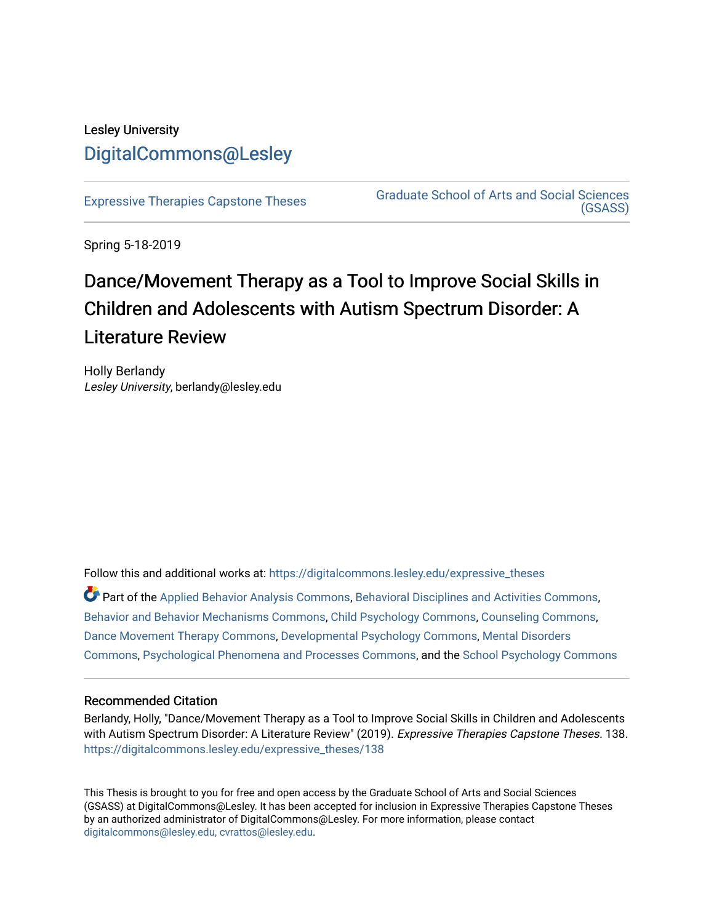## Lesley University [DigitalCommons@Lesley](https://digitalcommons.lesley.edu/)

[Expressive Therapies Capstone Theses](https://digitalcommons.lesley.edu/expressive_theses) Graduate School of Arts and Social Sciences [\(GSASS\)](https://digitalcommons.lesley.edu/gsass) 

Spring 5-18-2019

# Dance/Movement Therapy as a Tool to Improve Social Skills in Children and Adolescents with Autism Spectrum Disorder: A Literature Review

Holly Berlandy Lesley University, berlandy@lesley.edu

Follow this and additional works at: [https://digitalcommons.lesley.edu/expressive\\_theses](https://digitalcommons.lesley.edu/expressive_theses?utm_source=digitalcommons.lesley.edu%2Fexpressive_theses%2F138&utm_medium=PDF&utm_campaign=PDFCoverPages)

Part of the [Applied Behavior Analysis Commons](http://network.bepress.com/hgg/discipline/1235?utm_source=digitalcommons.lesley.edu%2Fexpressive_theses%2F138&utm_medium=PDF&utm_campaign=PDFCoverPages), [Behavioral Disciplines and Activities Commons](http://network.bepress.com/hgg/discipline/980?utm_source=digitalcommons.lesley.edu%2Fexpressive_theses%2F138&utm_medium=PDF&utm_campaign=PDFCoverPages), [Behavior and Behavior Mechanisms Commons](http://network.bepress.com/hgg/discipline/963?utm_source=digitalcommons.lesley.edu%2Fexpressive_theses%2F138&utm_medium=PDF&utm_campaign=PDFCoverPages), [Child Psychology Commons](http://network.bepress.com/hgg/discipline/1023?utm_source=digitalcommons.lesley.edu%2Fexpressive_theses%2F138&utm_medium=PDF&utm_campaign=PDFCoverPages), [Counseling Commons](http://network.bepress.com/hgg/discipline/1268?utm_source=digitalcommons.lesley.edu%2Fexpressive_theses%2F138&utm_medium=PDF&utm_campaign=PDFCoverPages), [Dance Movement Therapy Commons,](http://network.bepress.com/hgg/discipline/1150?utm_source=digitalcommons.lesley.edu%2Fexpressive_theses%2F138&utm_medium=PDF&utm_campaign=PDFCoverPages) [Developmental Psychology Commons](http://network.bepress.com/hgg/discipline/410?utm_source=digitalcommons.lesley.edu%2Fexpressive_theses%2F138&utm_medium=PDF&utm_campaign=PDFCoverPages), [Mental Disorders](http://network.bepress.com/hgg/discipline/968?utm_source=digitalcommons.lesley.edu%2Fexpressive_theses%2F138&utm_medium=PDF&utm_campaign=PDFCoverPages)  [Commons](http://network.bepress.com/hgg/discipline/968?utm_source=digitalcommons.lesley.edu%2Fexpressive_theses%2F138&utm_medium=PDF&utm_campaign=PDFCoverPages), [Psychological Phenomena and Processes Commons,](http://network.bepress.com/hgg/discipline/914?utm_source=digitalcommons.lesley.edu%2Fexpressive_theses%2F138&utm_medium=PDF&utm_campaign=PDFCoverPages) and the [School Psychology Commons](http://network.bepress.com/hgg/discipline/1072?utm_source=digitalcommons.lesley.edu%2Fexpressive_theses%2F138&utm_medium=PDF&utm_campaign=PDFCoverPages) 

#### Recommended Citation

Berlandy, Holly, "Dance/Movement Therapy as a Tool to Improve Social Skills in Children and Adolescents with Autism Spectrum Disorder: A Literature Review" (2019). Expressive Therapies Capstone Theses. 138. [https://digitalcommons.lesley.edu/expressive\\_theses/138](https://digitalcommons.lesley.edu/expressive_theses/138?utm_source=digitalcommons.lesley.edu%2Fexpressive_theses%2F138&utm_medium=PDF&utm_campaign=PDFCoverPages)

This Thesis is brought to you for free and open access by the Graduate School of Arts and Social Sciences (GSASS) at DigitalCommons@Lesley. It has been accepted for inclusion in Expressive Therapies Capstone Theses by an authorized administrator of DigitalCommons@Lesley. For more information, please contact [digitalcommons@lesley.edu, cvrattos@lesley.edu](mailto:digitalcommons@lesley.edu,%20cvrattos@lesley.edu).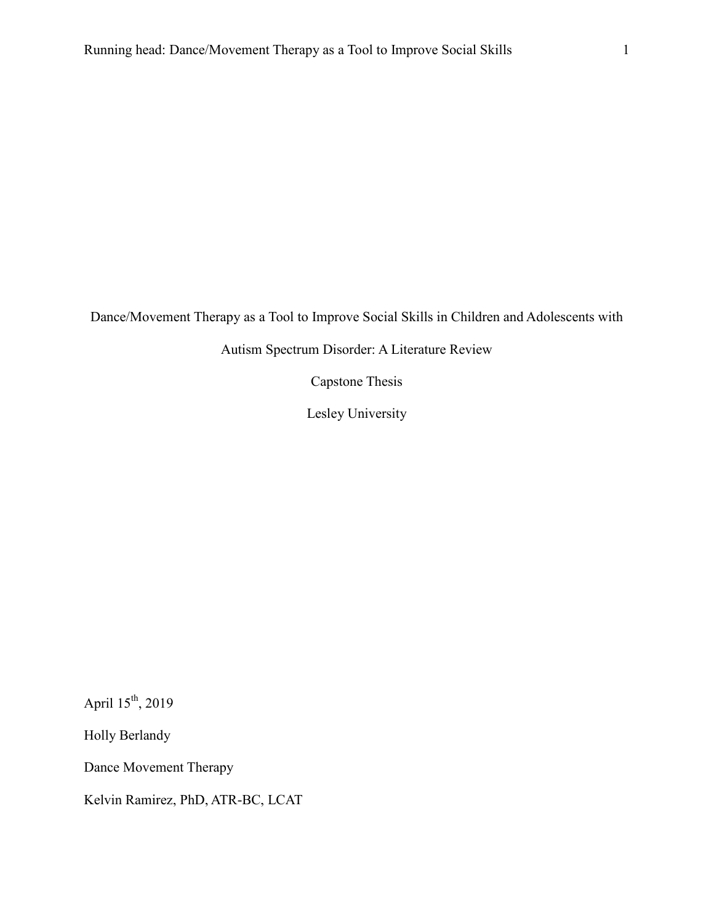Dance/Movement Therapy as a Tool to Improve Social Skills in Children and Adolescents with

Autism Spectrum Disorder: A Literature Review

Capstone Thesis

Lesley University

April 15th, 2019

Holly Berlandy

Dance Movement Therapy

Kelvin Ramirez, PhD, ATR-BC, LCAT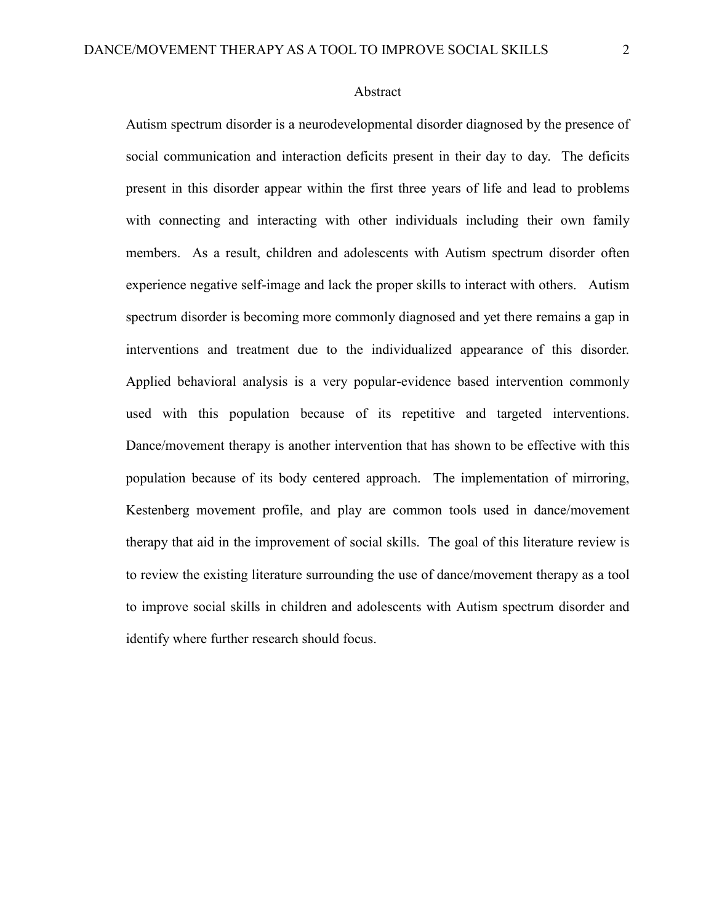Autism spectrum disorder is a neurodevelopmental disorder diagnosed by the presence of social communication and interaction deficits present in their day to day. The deficits present in this disorder appear within the first three years of life and lead to problems with connecting and interacting with other individuals including their own family members. As a result, children and adolescents with Autism spectrum disorder often experience negative self-image and lack the proper skills to interact with others. Autism spectrum disorder is becoming more commonly diagnosed and yet there remains a gap in interventions and treatment due to the individualized appearance of this disorder. Applied behavioral analysis is a very popular-evidence based intervention commonly used with this population because of its repetitive and targeted interventions. Dance/movement therapy is another intervention that has shown to be effective with this population because of its body centered approach. The implementation of mirroring, Kestenberg movement profile, and play are common tools used in dance/movement therapy that aid in the improvement of social skills. The goal of this literature review is to review the existing literature surrounding the use of dance/movement therapy as a tool to improve social skills in children and adolescents with Autism spectrum disorder and identify where further research should focus.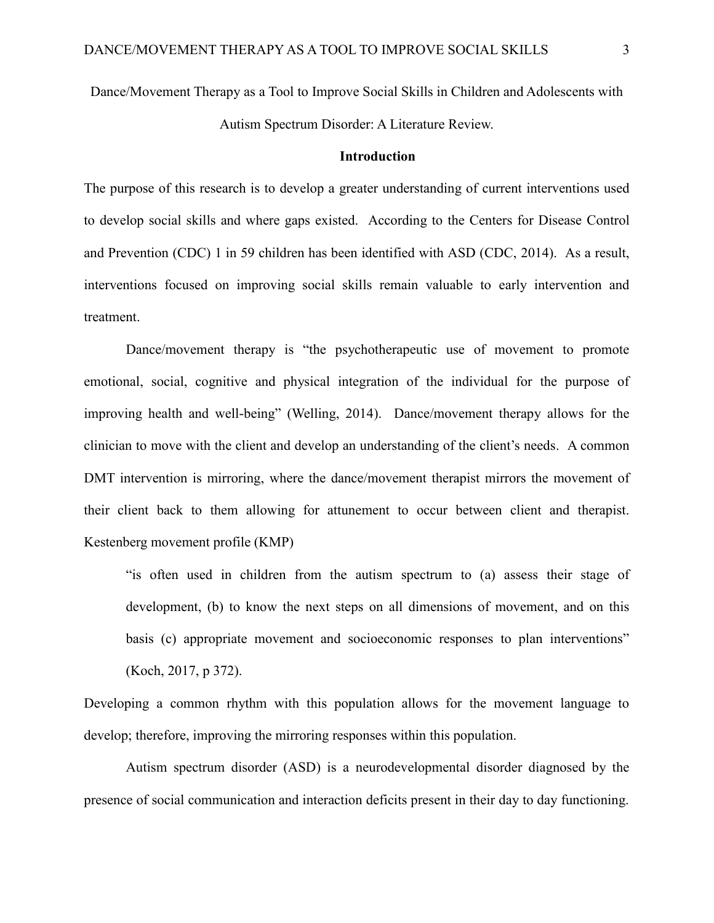Dance/Movement Therapy as a Tool to Improve Social Skills in Children and Adolescents with Autism Spectrum Disorder: A Literature Review.

#### **Introduction**

The purpose of this research is to develop a greater understanding of current interventions used to develop social skills and where gaps existed. According to the Centers for Disease Control and Prevention (CDC) 1 in 59 children has been identified with ASD (CDC, 2014). As a result, interventions focused on improving social skills remain valuable to early intervention and treatment.

Dance/movement therapy is "the psychotherapeutic use of movement to promote emotional, social, cognitive and physical integration of the individual for the purpose of improving health and well-being" (Welling, 2014). Dance/movement therapy allows for the clinician to move with the client and develop an understanding of the client's needs. A common DMT intervention is mirroring, where the dance/movement therapist mirrors the movement of their client back to them allowing for attunement to occur between client and therapist. Kestenberg movement profile (KMP)

"is often used in children from the autism spectrum to (a) assess their stage of development, (b) to know the next steps on all dimensions of movement, and on this basis (c) appropriate movement and socioeconomic responses to plan interventions" (Koch, 2017, p 372).

Developing a common rhythm with this population allows for the movement language to develop; therefore, improving the mirroring responses within this population.

Autism spectrum disorder (ASD) is a neurodevelopmental disorder diagnosed by the presence of social communication and interaction deficits present in their day to day functioning.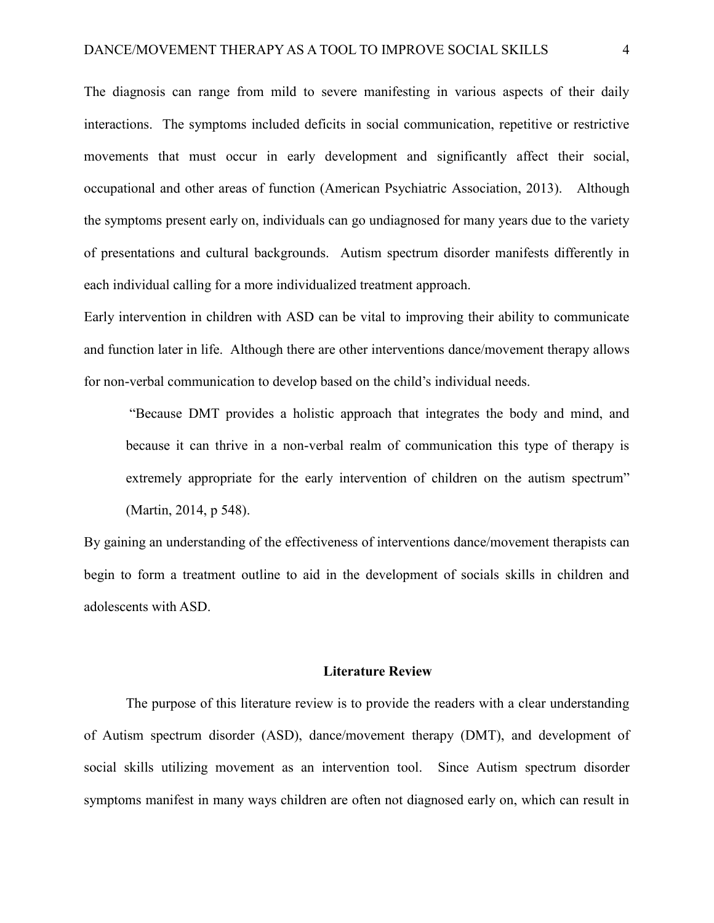The diagnosis can range from mild to severe manifesting in various aspects of their daily interactions. The symptoms included deficits in social communication, repetitive or restrictive movements that must occur in early development and significantly affect their social, occupational and other areas of function (American Psychiatric Association, 2013). Although the symptoms present early on, individuals can go undiagnosed for many years due to the variety of presentations and cultural backgrounds. Autism spectrum disorder manifests differently in each individual calling for a more individualized treatment approach.

Early intervention in children with ASD can be vital to improving their ability to communicate and function later in life. Although there are other interventions dance/movement therapy allows for non-verbal communication to develop based on the child's individual needs.

"Because DMT provides a holistic approach that integrates the body and mind, and because it can thrive in a non-verbal realm of communication this type of therapy is extremely appropriate for the early intervention of children on the autism spectrum" (Martin, 2014, p 548).

By gaining an understanding of the effectiveness of interventions dance/movement therapists can begin to form a treatment outline to aid in the development of socials skills in children and adolescents with ASD.

#### **Literature Review**

The purpose of this literature review is to provide the readers with a clear understanding of Autism spectrum disorder (ASD), dance/movement therapy (DMT), and development of social skills utilizing movement as an intervention tool. Since Autism spectrum disorder symptoms manifest in many ways children are often not diagnosed early on, which can result in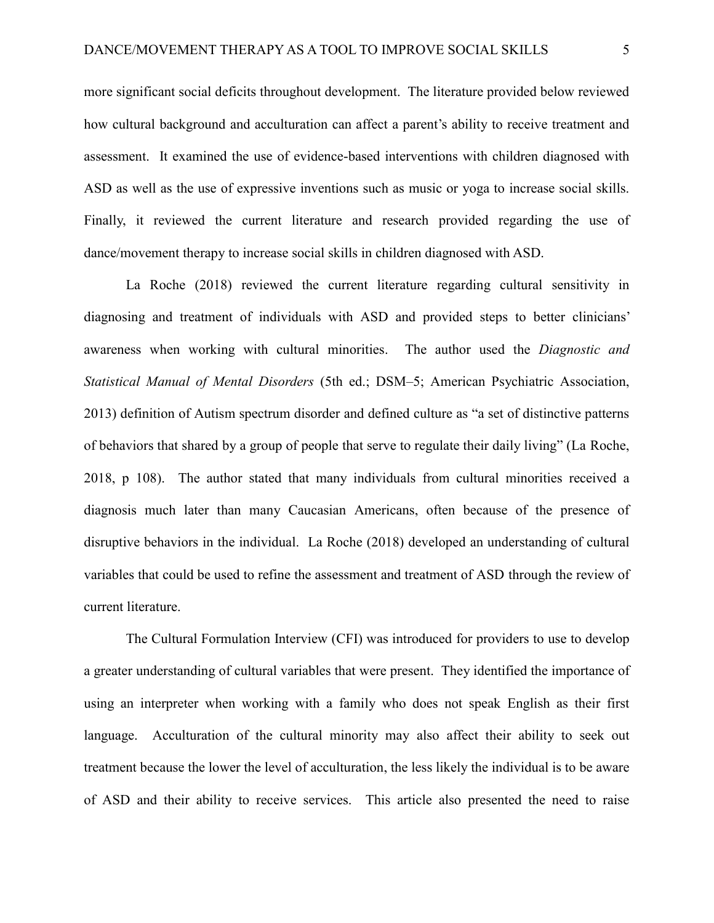more significant social deficits throughout development. The literature provided below reviewed how cultural background and acculturation can affect a parent's ability to receive treatment and assessment. It examined the use of evidence-based interventions with children diagnosed with ASD as well as the use of expressive inventions such as music or yoga to increase social skills. Finally, it reviewed the current literature and research provided regarding the use of dance/movement therapy to increase social skills in children diagnosed with ASD.

La Roche (2018) reviewed the current literature regarding cultural sensitivity in diagnosing and treatment of individuals with ASD and provided steps to better clinicians' awareness when working with cultural minorities. The author used the *Diagnostic and Statistical Manual of Mental Disorders* (5th ed.; DSM–5; American Psychiatric Association, 2013) definition of Autism spectrum disorder and defined culture as "a set of distinctive patterns of behaviors that shared by a group of people that serve to regulate their daily living" (La Roche, 2018, p 108). The author stated that many individuals from cultural minorities received a diagnosis much later than many Caucasian Americans, often because of the presence of disruptive behaviors in the individual. La Roche (2018) developed an understanding of cultural variables that could be used to refine the assessment and treatment of ASD through the review of current literature.

The Cultural Formulation Interview (CFI) was introduced for providers to use to develop a greater understanding of cultural variables that were present. They identified the importance of using an interpreter when working with a family who does not speak English as their first language. Acculturation of the cultural minority may also affect their ability to seek out treatment because the lower the level of acculturation, the less likely the individual is to be aware of ASD and their ability to receive services. This article also presented the need to raise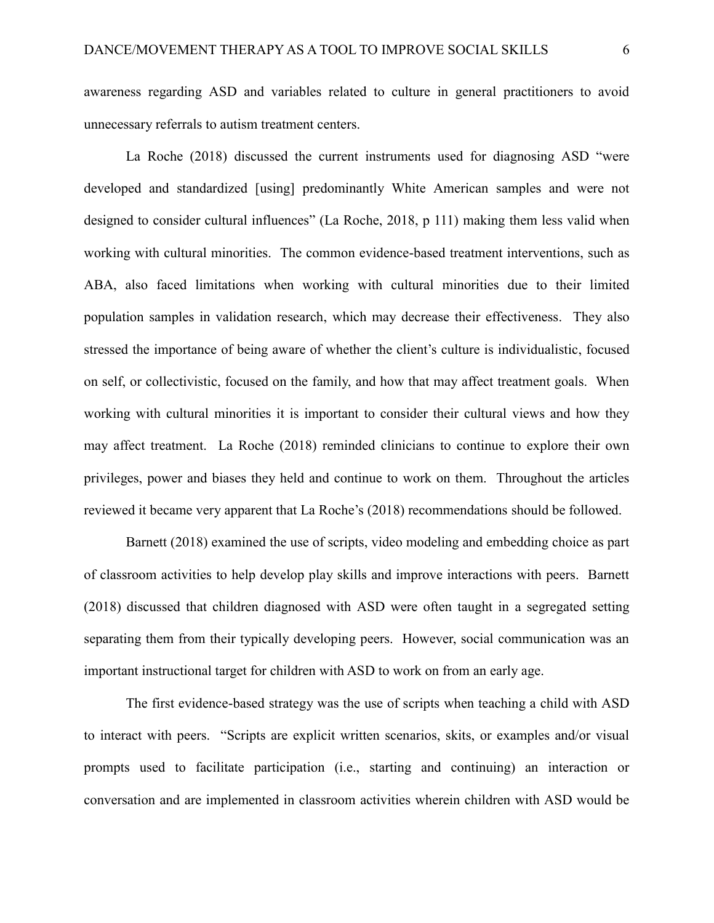awareness regarding ASD and variables related to culture in general practitioners to avoid unnecessary referrals to autism treatment centers.

La Roche (2018) discussed the current instruments used for diagnosing ASD "were developed and standardized [using] predominantly White American samples and were not designed to consider cultural influences" (La Roche, 2018, p 111) making them less valid when working with cultural minorities. The common evidence-based treatment interventions, such as ABA, also faced limitations when working with cultural minorities due to their limited population samples in validation research, which may decrease their effectiveness. They also stressed the importance of being aware of whether the client's culture is individualistic, focused on self, or collectivistic, focused on the family, and how that may affect treatment goals. When working with cultural minorities it is important to consider their cultural views and how they may affect treatment. La Roche (2018) reminded clinicians to continue to explore their own privileges, power and biases they held and continue to work on them. Throughout the articles reviewed it became very apparent that La Roche's (2018) recommendations should be followed.

Barnett (2018) examined the use of scripts, video modeling and embedding choice as part of classroom activities to help develop play skills and improve interactions with peers. Barnett (2018) discussed that children diagnosed with ASD were often taught in a segregated setting separating them from their typically developing peers. However, social communication was an important instructional target for children with ASD to work on from an early age.

The first evidence-based strategy was the use of scripts when teaching a child with ASD to interact with peers. "Scripts are explicit written scenarios, skits, or examples and/or visual prompts used to facilitate participation (i.e., starting and continuing) an interaction or conversation and are implemented in classroom activities wherein children with ASD would be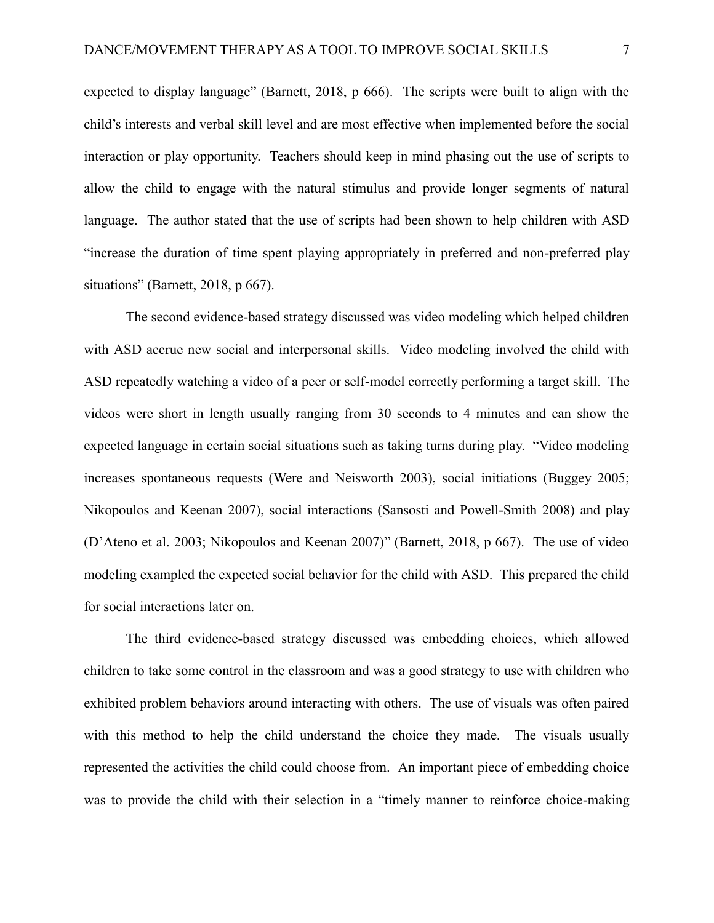expected to display language" (Barnett, 2018, p 666). The scripts were built to align with the child's interests and verbal skill level and are most effective when implemented before the social interaction or play opportunity. Teachers should keep in mind phasing out the use of scripts to allow the child to engage with the natural stimulus and provide longer segments of natural language. The author stated that the use of scripts had been shown to help children with ASD "increase the duration of time spent playing appropriately in preferred and non-preferred play situations" (Barnett, 2018, p 667).

The second evidence-based strategy discussed was video modeling which helped children with ASD accrue new social and interpersonal skills. Video modeling involved the child with ASD repeatedly watching a video of a peer or self-model correctly performing a target skill. The videos were short in length usually ranging from 30 seconds to 4 minutes and can show the expected language in certain social situations such as taking turns during play. "Video modeling increases spontaneous requests (Were and Neisworth 2003), social initiations (Buggey 2005; Nikopoulos and Keenan 2007), social interactions (Sansosti and Powell-Smith 2008) and play (D'Ateno et al. 2003; Nikopoulos and Keenan 2007)" (Barnett, 2018, p 667). The use of video modeling exampled the expected social behavior for the child with ASD. This prepared the child for social interactions later on.

The third evidence-based strategy discussed was embedding choices, which allowed children to take some control in the classroom and was a good strategy to use with children who exhibited problem behaviors around interacting with others. The use of visuals was often paired with this method to help the child understand the choice they made. The visuals usually represented the activities the child could choose from. An important piece of embedding choice was to provide the child with their selection in a "timely manner to reinforce choice-making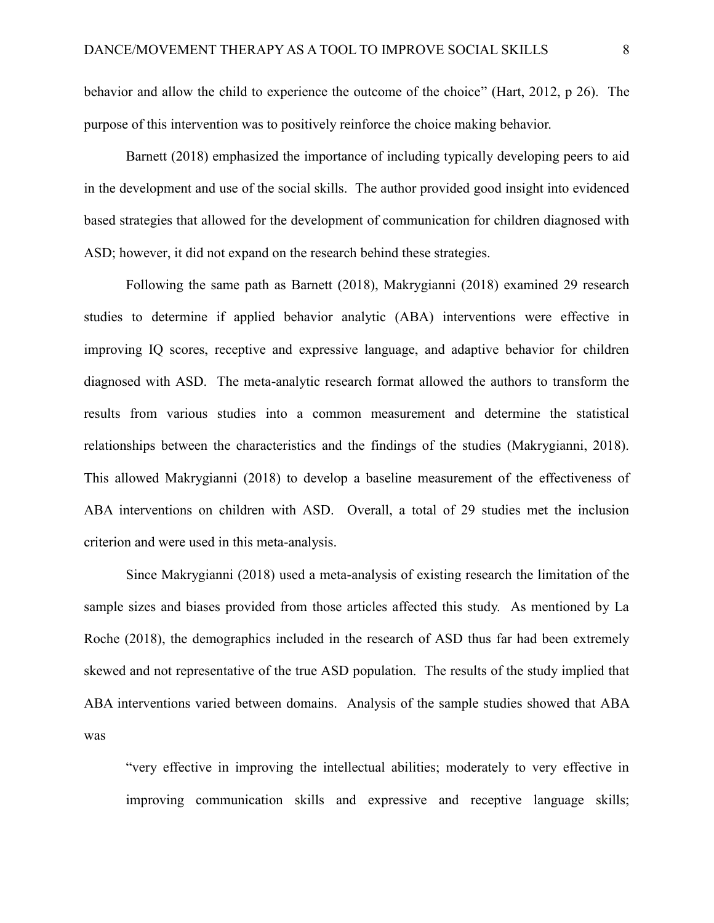behavior and allow the child to experience the outcome of the choice" (Hart, 2012, p 26). The purpose of this intervention was to positively reinforce the choice making behavior.

Barnett (2018) emphasized the importance of including typically developing peers to aid in the development and use of the social skills. The author provided good insight into evidenced based strategies that allowed for the development of communication for children diagnosed with ASD; however, it did not expand on the research behind these strategies.

Following the same path as Barnett (2018), Makrygianni (2018) examined 29 research studies to determine if applied behavior analytic (ABA) interventions were effective in improving IQ scores, receptive and expressive language, and adaptive behavior for children diagnosed with ASD. The meta-analytic research format allowed the authors to transform the results from various studies into a common measurement and determine the statistical relationships between the characteristics and the findings of the studies (Makrygianni, 2018). This allowed Makrygianni (2018) to develop a baseline measurement of the effectiveness of ABA interventions on children with ASD. Overall, a total of 29 studies met the inclusion criterion and were used in this meta-analysis.

Since Makrygianni (2018) used a meta-analysis of existing research the limitation of the sample sizes and biases provided from those articles affected this study. As mentioned by La Roche (2018), the demographics included in the research of ASD thus far had been extremely skewed and not representative of the true ASD population. The results of the study implied that ABA interventions varied between domains. Analysis of the sample studies showed that ABA was

"very effective in improving the intellectual abilities; moderately to very effective in improving communication skills and expressive and receptive language skills;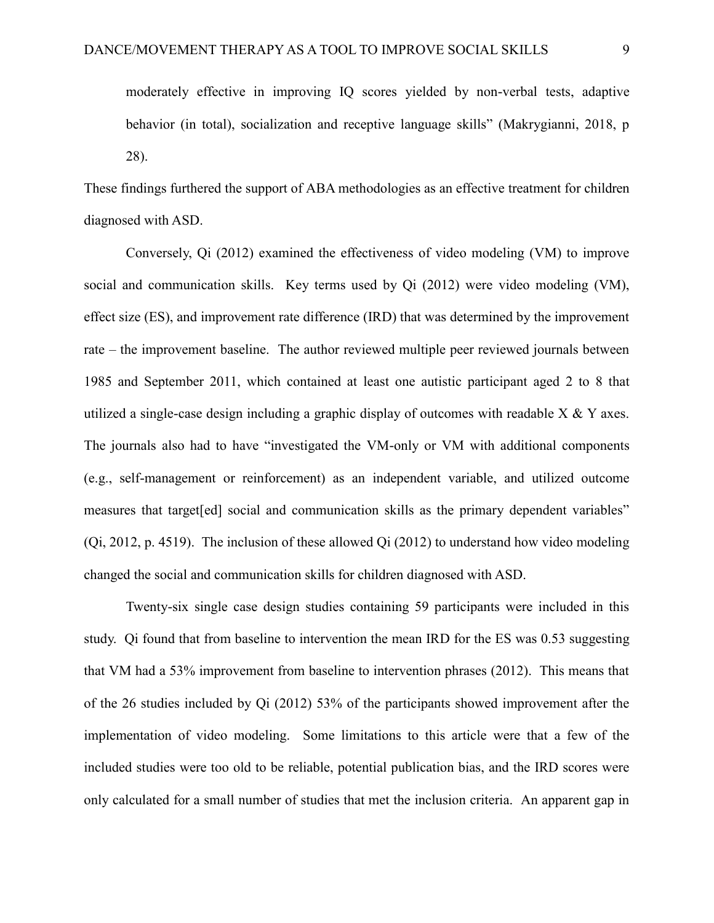28).

These findings furthered the support of ABA methodologies as an effective treatment for children diagnosed with ASD.

Conversely, Qi (2012) examined the effectiveness of video modeling (VM) to improve social and communication skills. Key terms used by Qi (2012) were video modeling (VM), effect size (ES), and improvement rate difference (IRD) that was determined by the improvement rate – the improvement baseline. The author reviewed multiple peer reviewed journals between 1985 and September 2011, which contained at least one autistic participant aged 2 to 8 that utilized a single-case design including a graphic display of outcomes with readable X & Y axes. The journals also had to have "investigated the VM-only or VM with additional components (e.g., self-management or reinforcement) as an independent variable, and utilized outcome measures that target[ed] social and communication skills as the primary dependent variables" (Qi, 2012, p. 4519). The inclusion of these allowed Qi (2012) to understand how video modeling changed the social and communication skills for children diagnosed with ASD.

Twenty-six single case design studies containing 59 participants were included in this study. Qi found that from baseline to intervention the mean IRD for the ES was 0.53 suggesting that VM had a 53% improvement from baseline to intervention phrases (2012). This means that of the 26 studies included by Qi (2012) 53% of the participants showed improvement after the implementation of video modeling. Some limitations to this article were that a few of the included studies were too old to be reliable, potential publication bias, and the IRD scores were only calculated for a small number of studies that met the inclusion criteria. An apparent gap in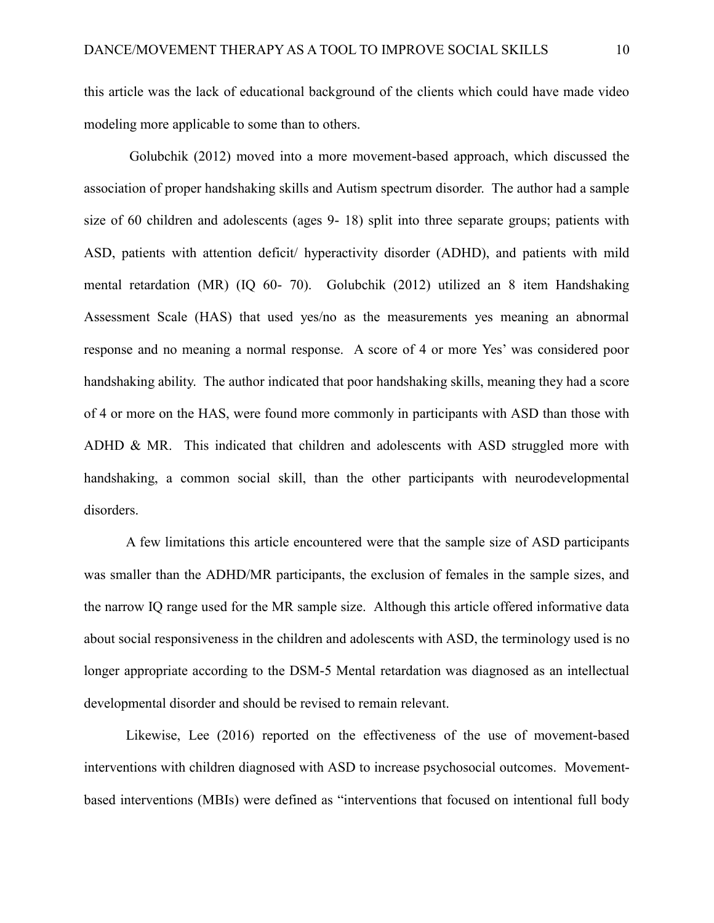this article was the lack of educational background of the clients which could have made video modeling more applicable to some than to others.

Golubchik (2012) moved into a more movement-based approach, which discussed the association of proper handshaking skills and Autism spectrum disorder. The author had a sample size of 60 children and adolescents (ages 9- 18) split into three separate groups; patients with ASD, patients with attention deficit/ hyperactivity disorder (ADHD), and patients with mild mental retardation (MR) (IQ 60- 70). Golubchik (2012) utilized an 8 item Handshaking Assessment Scale (HAS) that used yes/no as the measurements yes meaning an abnormal response and no meaning a normal response. A score of 4 or more Yes' was considered poor handshaking ability. The author indicated that poor handshaking skills, meaning they had a score of 4 or more on the HAS, were found more commonly in participants with ASD than those with ADHD & MR. This indicated that children and adolescents with ASD struggled more with handshaking, a common social skill, than the other participants with neurodevelopmental disorders.

A few limitations this article encountered were that the sample size of ASD participants was smaller than the ADHD/MR participants, the exclusion of females in the sample sizes, and the narrow IQ range used for the MR sample size. Although this article offered informative data about social responsiveness in the children and adolescents with ASD, the terminology used is no longer appropriate according to the DSM-5 Mental retardation was diagnosed as an intellectual developmental disorder and should be revised to remain relevant.

Likewise, Lee (2016) reported on the effectiveness of the use of movement-based interventions with children diagnosed with ASD to increase psychosocial outcomes. Movementbased interventions (MBIs) were defined as "interventions that focused on intentional full body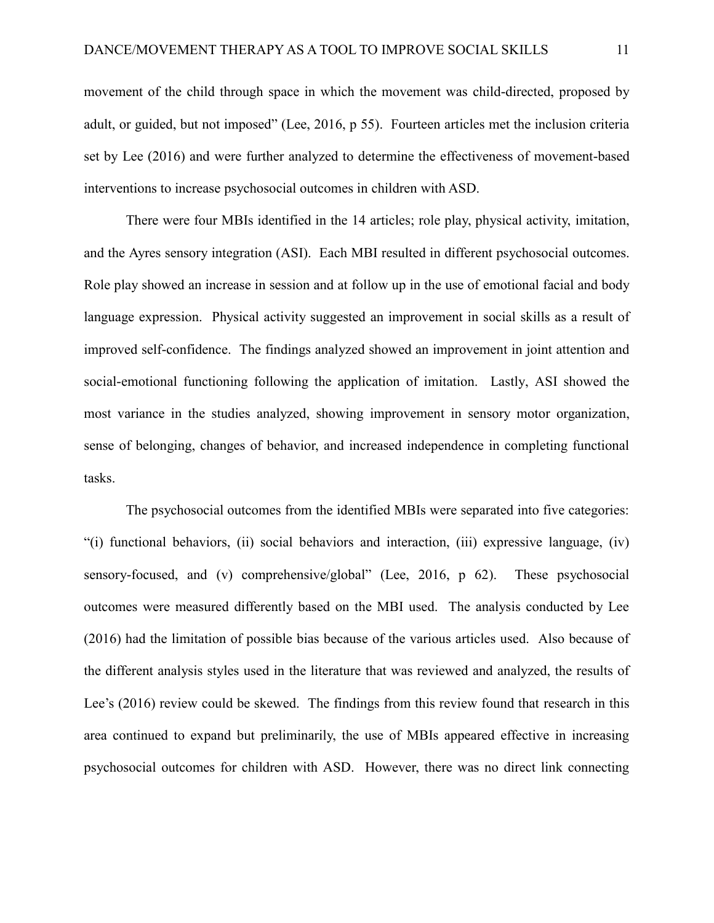movement of the child through space in which the movement was child-directed, proposed by adult, or guided, but not imposed" (Lee, 2016, p 55). Fourteen articles met the inclusion criteria set by Lee (2016) and were further analyzed to determine the effectiveness of movement-based interventions to increase psychosocial outcomes in children with ASD.

There were four MBIs identified in the 14 articles; role play, physical activity, imitation, and the Ayres sensory integration (ASI). Each MBI resulted in different psychosocial outcomes. Role play showed an increase in session and at follow up in the use of emotional facial and body language expression. Physical activity suggested an improvement in social skills as a result of improved self-confidence. The findings analyzed showed an improvement in joint attention and social-emotional functioning following the application of imitation. Lastly, ASI showed the most variance in the studies analyzed, showing improvement in sensory motor organization, sense of belonging, changes of behavior, and increased independence in completing functional tasks.

The psychosocial outcomes from the identified MBIs were separated into five categories: "(i) functional behaviors, (ii) social behaviors and interaction, (iii) expressive language, (iv) sensory-focused, and (v) comprehensive/global" (Lee, 2016, p 62). These psychosocial outcomes were measured differently based on the MBI used. The analysis conducted by Lee (2016) had the limitation of possible bias because of the various articles used. Also because of the different analysis styles used in the literature that was reviewed and analyzed, the results of Lee's (2016) review could be skewed. The findings from this review found that research in this area continued to expand but preliminarily, the use of MBIs appeared effective in increasing psychosocial outcomes for children with ASD. However, there was no direct link connecting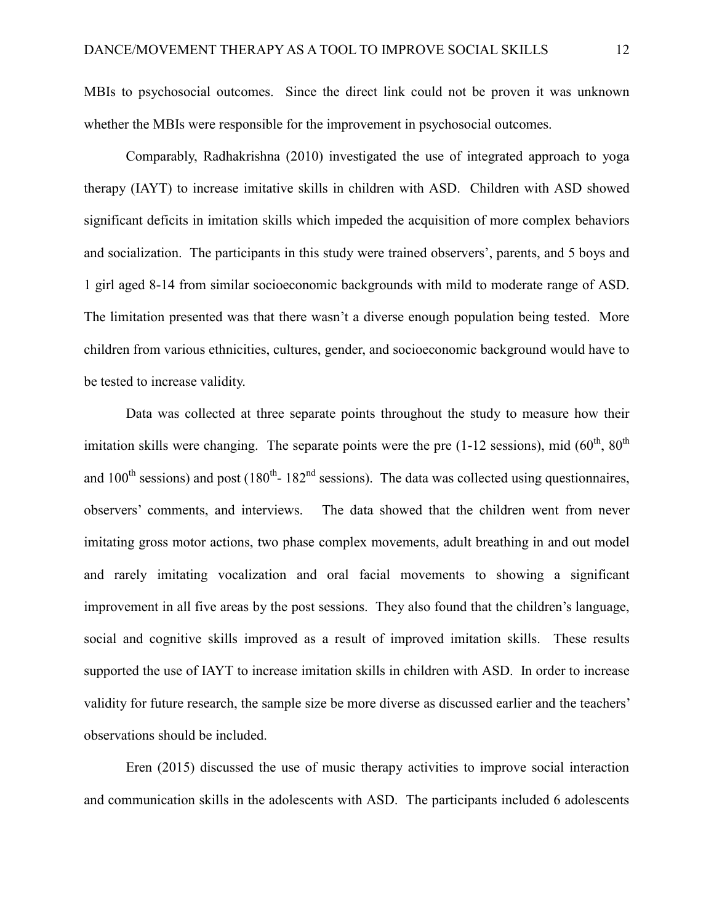MBIs to psychosocial outcomes. Since the direct link could not be proven it was unknown whether the MBIs were responsible for the improvement in psychosocial outcomes.

Comparably, Radhakrishna (2010) investigated the use of integrated approach to yoga therapy (IAYT) to increase imitative skills in children with ASD. Children with ASD showed significant deficits in imitation skills which impeded the acquisition of more complex behaviors and socialization. The participants in this study were trained observers', parents, and 5 boys and 1 girl aged 8-14 from similar socioeconomic backgrounds with mild to moderate range of ASD. The limitation presented was that there wasn't a diverse enough population being tested. More children from various ethnicities, cultures, gender, and socioeconomic background would have to be tested to increase validity.

Data was collected at three separate points throughout the study to measure how their imitation skills were changing. The separate points were the pre (1-12 sessions), mid  $(60<sup>th</sup>, 80<sup>th</sup>)$ and 100<sup>th</sup> sessions) and post (180<sup>th</sup>-182<sup>nd</sup> sessions). The data was collected using questionnaires, observers' comments, and interviews. The data showed that the children went from never imitating gross motor actions, two phase complex movements, adult breathing in and out model and rarely imitating vocalization and oral facial movements to showing a significant improvement in all five areas by the post sessions. They also found that the children's language, social and cognitive skills improved as a result of improved imitation skills. These results supported the use of IAYT to increase imitation skills in children with ASD. In order to increase validity for future research, the sample size be more diverse as discussed earlier and the teachers' observations should be included.

Eren (2015) discussed the use of music therapy activities to improve social interaction and communication skills in the adolescents with ASD. The participants included 6 adolescents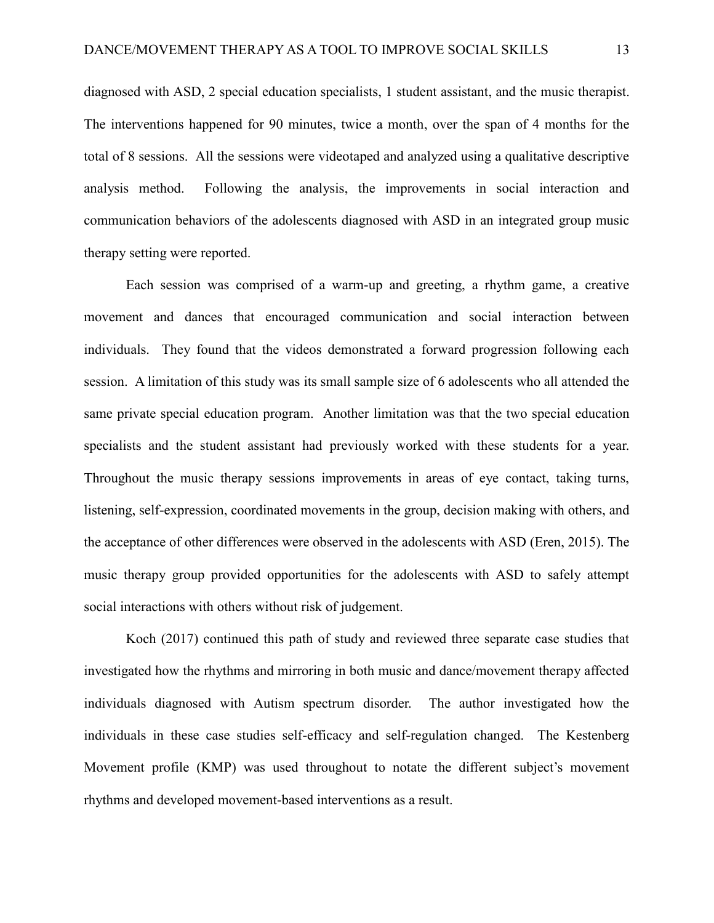diagnosed with ASD, 2 special education specialists, 1 student assistant, and the music therapist. The interventions happened for 90 minutes, twice a month, over the span of 4 months for the total of 8 sessions. All the sessions were videotaped and analyzed using a qualitative descriptive analysis method. Following the analysis, the improvements in social interaction and communication behaviors of the adolescents diagnosed with ASD in an integrated group music therapy setting were reported.

Each session was comprised of a warm-up and greeting, a rhythm game, a creative movement and dances that encouraged communication and social interaction between individuals. They found that the videos demonstrated a forward progression following each session. A limitation of this study was its small sample size of 6 adolescents who all attended the same private special education program. Another limitation was that the two special education specialists and the student assistant had previously worked with these students for a year. Throughout the music therapy sessions improvements in areas of eye contact, taking turns, listening, self-expression, coordinated movements in the group, decision making with others, and the acceptance of other differences were observed in the adolescents with ASD (Eren, 2015). The music therapy group provided opportunities for the adolescents with ASD to safely attempt social interactions with others without risk of judgement.

Koch (2017) continued this path of study and reviewed three separate case studies that investigated how the rhythms and mirroring in both music and dance/movement therapy affected individuals diagnosed with Autism spectrum disorder. The author investigated how the individuals in these case studies self-efficacy and self-regulation changed. The Kestenberg Movement profile (KMP) was used throughout to notate the different subject's movement rhythms and developed movement-based interventions as a result.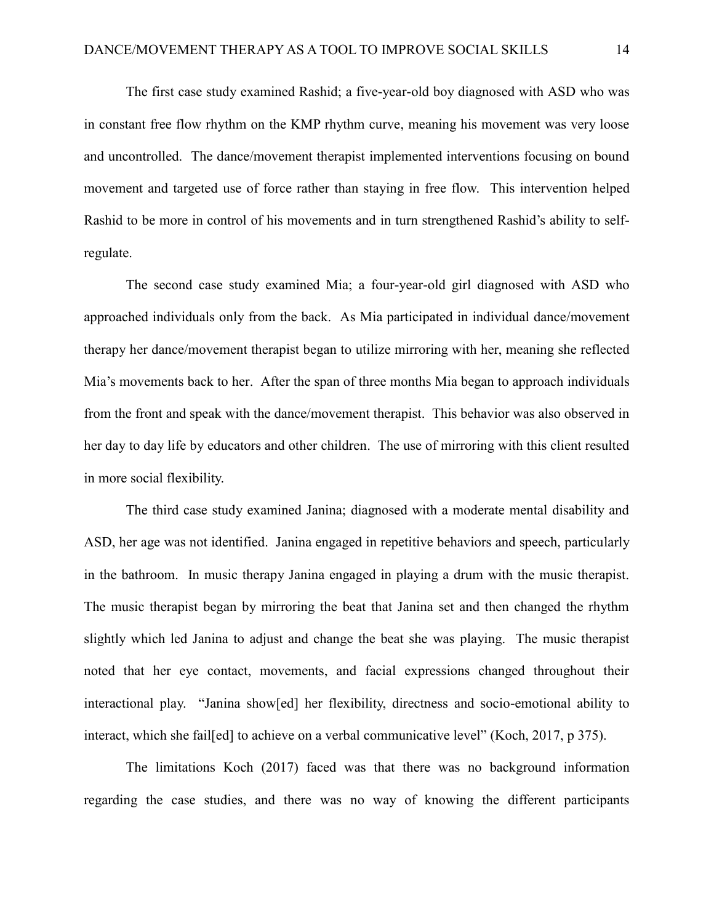The first case study examined Rashid; a five-year-old boy diagnosed with ASD who was in constant free flow rhythm on the KMP rhythm curve, meaning his movement was very loose and uncontrolled. The dance/movement therapist implemented interventions focusing on bound movement and targeted use of force rather than staying in free flow. This intervention helped Rashid to be more in control of his movements and in turn strengthened Rashid's ability to selfregulate.

The second case study examined Mia; a four-year-old girl diagnosed with ASD who approached individuals only from the back. As Mia participated in individual dance/movement therapy her dance/movement therapist began to utilize mirroring with her, meaning she reflected Mia's movements back to her. After the span of three months Mia began to approach individuals from the front and speak with the dance/movement therapist. This behavior was also observed in her day to day life by educators and other children. The use of mirroring with this client resulted in more social flexibility.

The third case study examined Janina; diagnosed with a moderate mental disability and ASD, her age was not identified. Janina engaged in repetitive behaviors and speech, particularly in the bathroom. In music therapy Janina engaged in playing a drum with the music therapist. The music therapist began by mirroring the beat that Janina set and then changed the rhythm slightly which led Janina to adjust and change the beat she was playing. The music therapist noted that her eye contact, movements, and facial expressions changed throughout their interactional play. "Janina show[ed] her flexibility, directness and socio-emotional ability to interact, which she fail[ed] to achieve on a verbal communicative level" (Koch, 2017, p 375).

The limitations Koch (2017) faced was that there was no background information regarding the case studies, and there was no way of knowing the different participants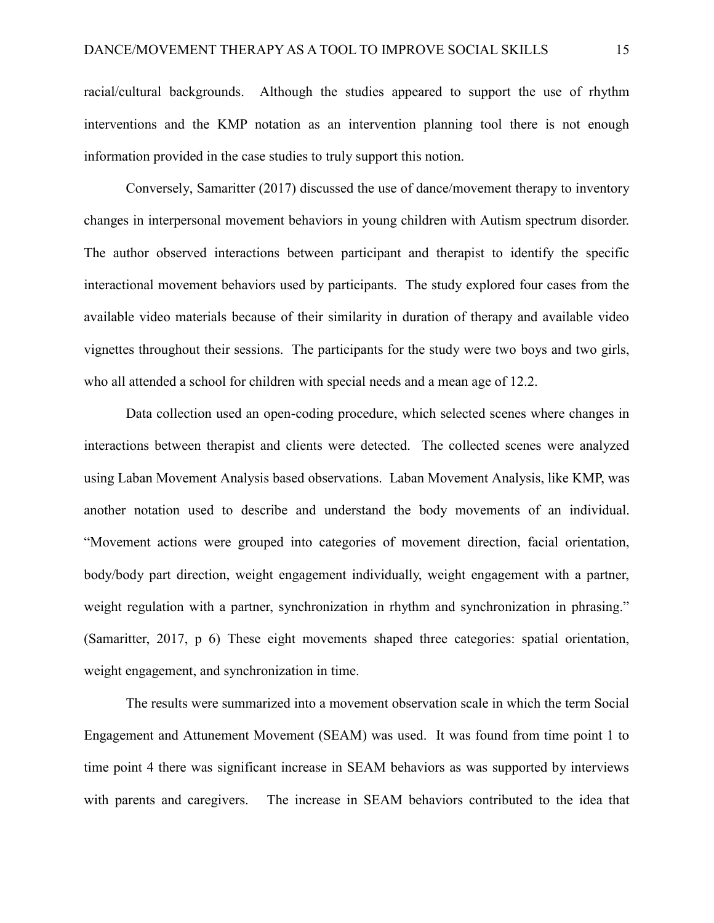racial/cultural backgrounds. Although the studies appeared to support the use of rhythm interventions and the KMP notation as an intervention planning tool there is not enough information provided in the case studies to truly support this notion.

Conversely, Samaritter (2017) discussed the use of dance/movement therapy to inventory changes in interpersonal movement behaviors in young children with Autism spectrum disorder. The author observed interactions between participant and therapist to identify the specific interactional movement behaviors used by participants. The study explored four cases from the available video materials because of their similarity in duration of therapy and available video vignettes throughout their sessions. The participants for the study were two boys and two girls, who all attended a school for children with special needs and a mean age of 12.2.

Data collection used an open-coding procedure, which selected scenes where changes in interactions between therapist and clients were detected. The collected scenes were analyzed using Laban Movement Analysis based observations. Laban Movement Analysis, like KMP, was another notation used to describe and understand the body movements of an individual. "Movement actions were grouped into categories of movement direction, facial orientation, body/body part direction, weight engagement individually, weight engagement with a partner, weight regulation with a partner, synchronization in rhythm and synchronization in phrasing." (Samaritter, 2017, p 6) These eight movements shaped three categories: spatial orientation, weight engagement, and synchronization in time.

The results were summarized into a movement observation scale in which the term Social Engagement and Attunement Movement (SEAM) was used. It was found from time point 1 to time point 4 there was significant increase in SEAM behaviors as was supported by interviews with parents and caregivers. The increase in SEAM behaviors contributed to the idea that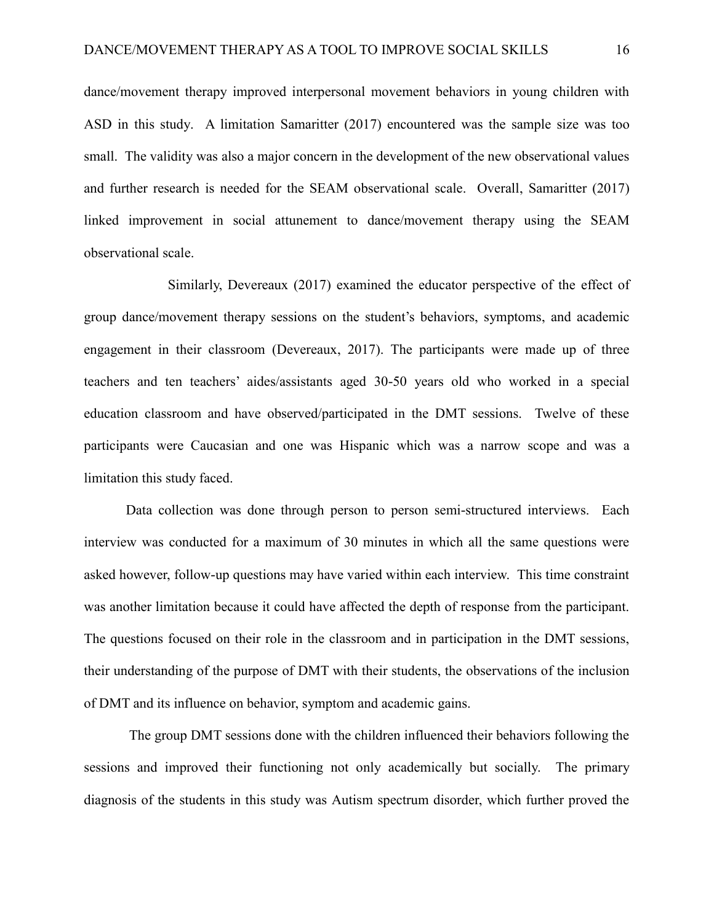dance/movement therapy improved interpersonal movement behaviors in young children with ASD in this study. A limitation Samaritter (2017) encountered was the sample size was too small. The validity was also a major concern in the development of the new observational values and further research is needed for the SEAM observational scale. Overall, Samaritter (2017) linked improvement in social attunement to dance/movement therapy using the SEAM observational scale.

Similarly, Devereaux (2017) examined the educator perspective of the effect of group dance/movement therapy sessions on the student's behaviors, symptoms, and academic engagement in their classroom (Devereaux, 2017). The participants were made up of three teachers and ten teachers' aides/assistants aged 30-50 years old who worked in a special education classroom and have observed/participated in the DMT sessions. Twelve of these participants were Caucasian and one was Hispanic which was a narrow scope and was a limitation this study faced.

Data collection was done through person to person semi-structured interviews. Each interview was conducted for a maximum of 30 minutes in which all the same questions were asked however, follow-up questions may have varied within each interview. This time constraint was another limitation because it could have affected the depth of response from the participant. The questions focused on their role in the classroom and in participation in the DMT sessions, their understanding of the purpose of DMT with their students, the observations of the inclusion of DMT and its influence on behavior, symptom and academic gains.

The group DMT sessions done with the children influenced their behaviors following the sessions and improved their functioning not only academically but socially. The primary diagnosis of the students in this study was Autism spectrum disorder, which further proved the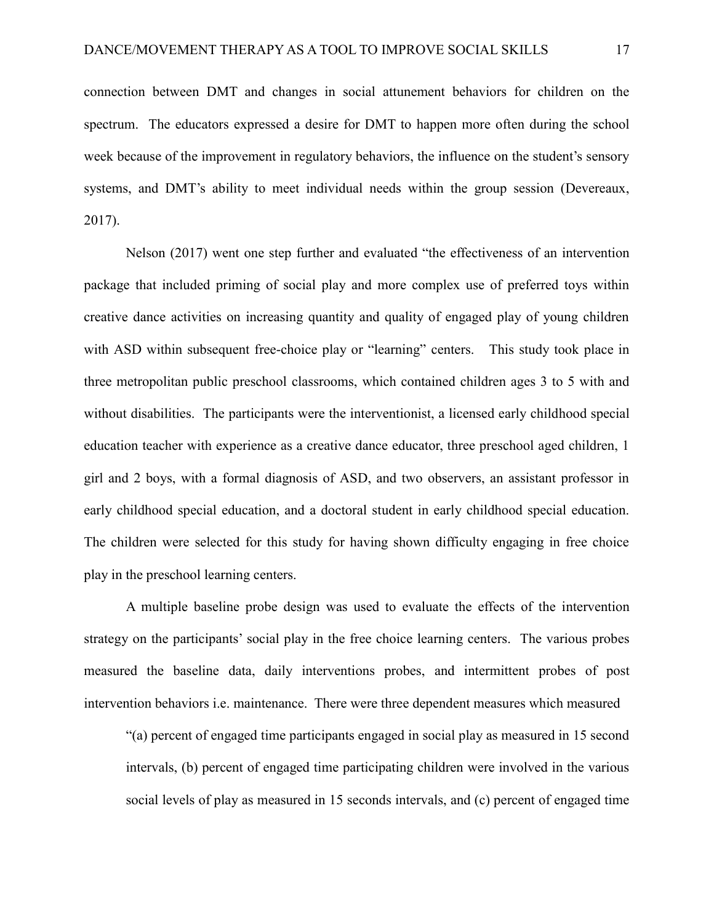connection between DMT and changes in social attunement behaviors for children on the spectrum. The educators expressed a desire for DMT to happen more often during the school week because of the improvement in regulatory behaviors, the influence on the student's sensory systems, and DMT's ability to meet individual needs within the group session (Devereaux, 2017).

Nelson (2017) went one step further and evaluated "the effectiveness of an intervention package that included priming of social play and more complex use of preferred toys within creative dance activities on increasing quantity and quality of engaged play of young children with ASD within subsequent free-choice play or "learning" centers. This study took place in three metropolitan public preschool classrooms, which contained children ages 3 to 5 with and without disabilities. The participants were the interventionist, a licensed early childhood special education teacher with experience as a creative dance educator, three preschool aged children, 1 girl and 2 boys, with a formal diagnosis of ASD, and two observers, an assistant professor in early childhood special education, and a doctoral student in early childhood special education. The children were selected for this study for having shown difficulty engaging in free choice play in the preschool learning centers.

A multiple baseline probe design was used to evaluate the effects of the intervention strategy on the participants' social play in the free choice learning centers. The various probes measured the baseline data, daily interventions probes, and intermittent probes of post intervention behaviors i.e. maintenance. There were three dependent measures which measured

"(a) percent of engaged time participants engaged in social play as measured in 15 second intervals, (b) percent of engaged time participating children were involved in the various social levels of play as measured in 15 seconds intervals, and (c) percent of engaged time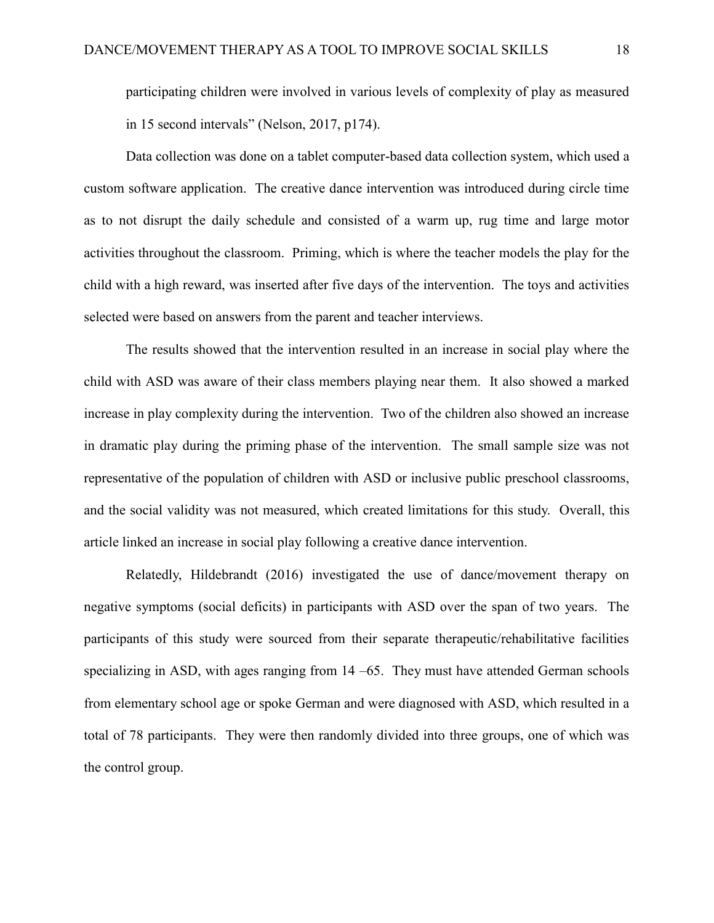participating children were involved in various levels of complexity of play as measured in 15 second intervals" (Nelson, 2017, p174).

Data collection was done on a tablet computer-based data collection system, which used a custom software application. The creative dance intervention was introduced during circle time as to not disrupt the daily schedule and consisted of a warm up, rug time and large motor activities throughout the classroom. Priming, which is where the teacher models the play for the child with a high reward, was inserted after five days of the intervention. The toys and activities selected were based on answers from the parent and teacher interviews.

The results showed that the intervention resulted in an increase in social play where the child with ASD was aware of their class members playing near them. It also showed a marked increase in play complexity during the intervention. Two of the children also showed an increase in dramatic play during the priming phase of the intervention. The small sample size was not representative of the population of children with ASD or inclusive public preschool classrooms, and the social validity was not measured, which created limitations for this study. Overall, this article linked an increase in social play following a creative dance intervention.

Relatedly, Hildebrandt (2016) investigated the use of dance/movement therapy on negative symptoms (social deficits) in participants with ASD over the span of two years. The participants of this study were sourced from their separate therapeutic/rehabilitative facilities specializing in ASD, with ages ranging from 14 –65. They must have attended German schools from elementary school age or spoke German and were diagnosed with ASD, which resulted in a total of 78 participants. They were then randomly divided into three groups, one of which was the control group.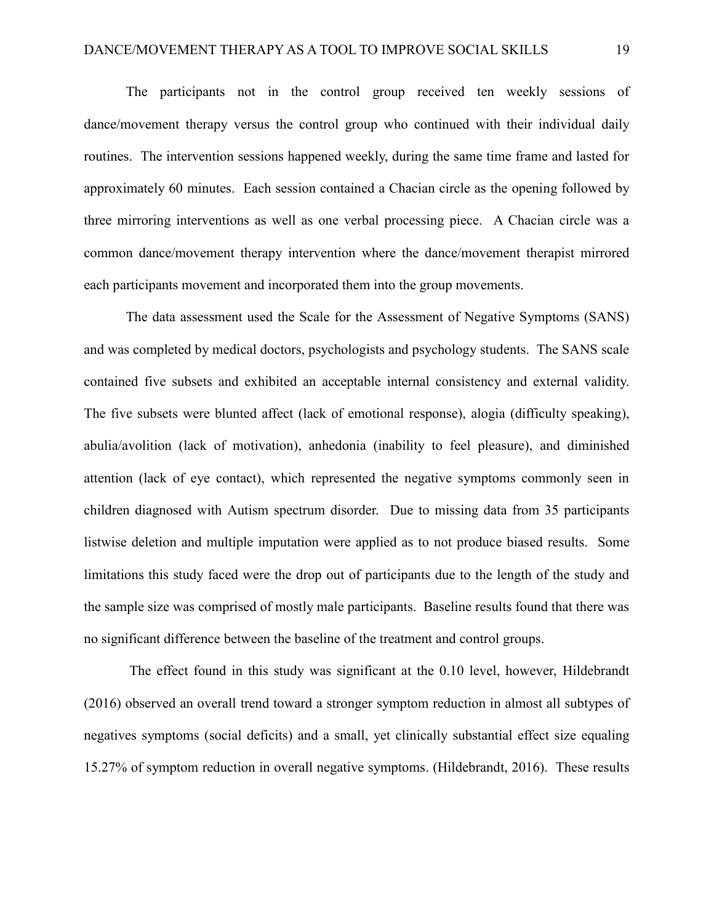The participants not in the control group received ten weekly sessions of dance/movement therapy versus the control group who continued with their individual daily routines. The intervention sessions happened weekly, during the same time frame and lasted for approximately 60 minutes. Each session contained a Chacian circle as the opening followed by three mirroring interventions as well as one verbal processing piece. A Chacian circle was a common dance/movement therapy intervention where the dance/movement therapist mirrored each participants movement and incorporated them into the group movements.

The data assessment used the Scale for the Assessment of Negative Symptoms (SANS) and was completed by medical doctors, psychologists and psychology students. The SANS scale contained five subsets and exhibited an acceptable internal consistency and external validity. The five subsets were blunted affect (lack of emotional response), alogia (difficulty speaking), abulia/avolition (lack of motivation), anhedonia (inability to feel pleasure), and diminished attention (lack of eye contact), which represented the negative symptoms commonly seen in children diagnosed with Autism spectrum disorder. Due to missing data from 35 participants listwise deletion and multiple imputation were applied as to not produce biased results. Some limitations this study faced were the drop out of participants due to the length of the study and the sample size was comprised of mostly male participants. Baseline results found that there was no significant difference between the baseline of the treatment and control groups.

The effect found in this study was significant at the 0.10 level, however, Hildebrandt (2016) observed an overall trend toward a stronger symptom reduction in almost all subtypes of negatives symptoms (social deficits) and a small, yet clinically substantial effect size equaling 15.27% of symptom reduction in overall negative symptoms. (Hildebrandt, 2016). These results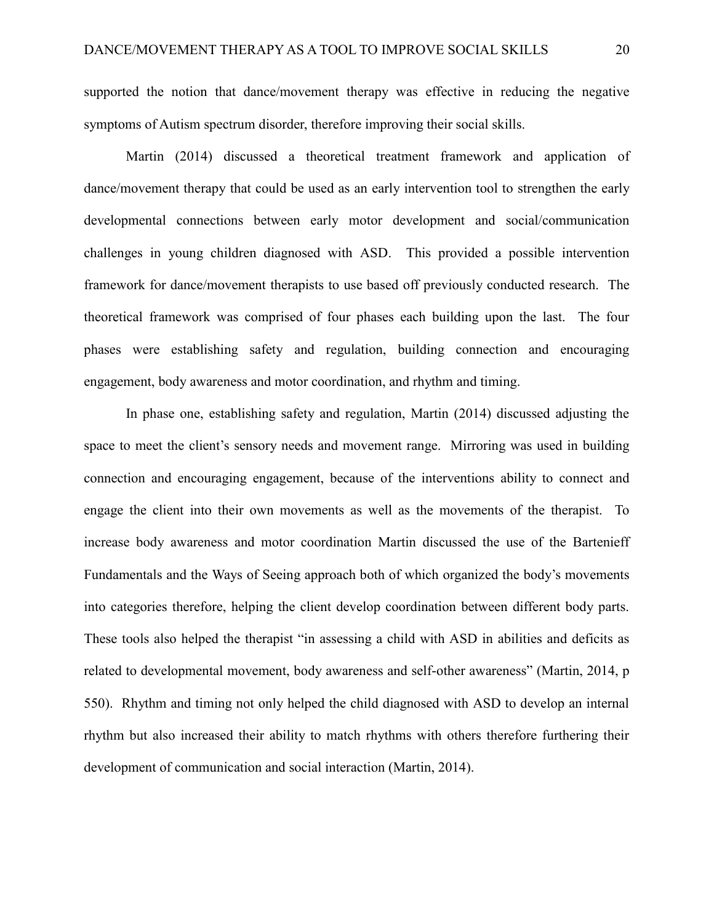supported the notion that dance/movement therapy was effective in reducing the negative symptoms of Autism spectrum disorder, therefore improving their social skills.

Martin (2014) discussed a theoretical treatment framework and application of dance/movement therapy that could be used as an early intervention tool to strengthen the early developmental connections between early motor development and social/communication challenges in young children diagnosed with ASD. This provided a possible intervention framework for dance/movement therapists to use based off previously conducted research. The theoretical framework was comprised of four phases each building upon the last. The four phases were establishing safety and regulation, building connection and encouraging engagement, body awareness and motor coordination, and rhythm and timing.

In phase one, establishing safety and regulation, Martin (2014) discussed adjusting the space to meet the client's sensory needs and movement range. Mirroring was used in building connection and encouraging engagement, because of the interventions ability to connect and engage the client into their own movements as well as the movements of the therapist. To increase body awareness and motor coordination Martin discussed the use of the Bartenieff Fundamentals and the Ways of Seeing approach both of which organized the body's movements into categories therefore, helping the client develop coordination between different body parts. These tools also helped the therapist "in assessing a child with ASD in abilities and deficits as related to developmental movement, body awareness and self-other awareness" (Martin, 2014, p 550). Rhythm and timing not only helped the child diagnosed with ASD to develop an internal rhythm but also increased their ability to match rhythms with others therefore furthering their development of communication and social interaction (Martin, 2014).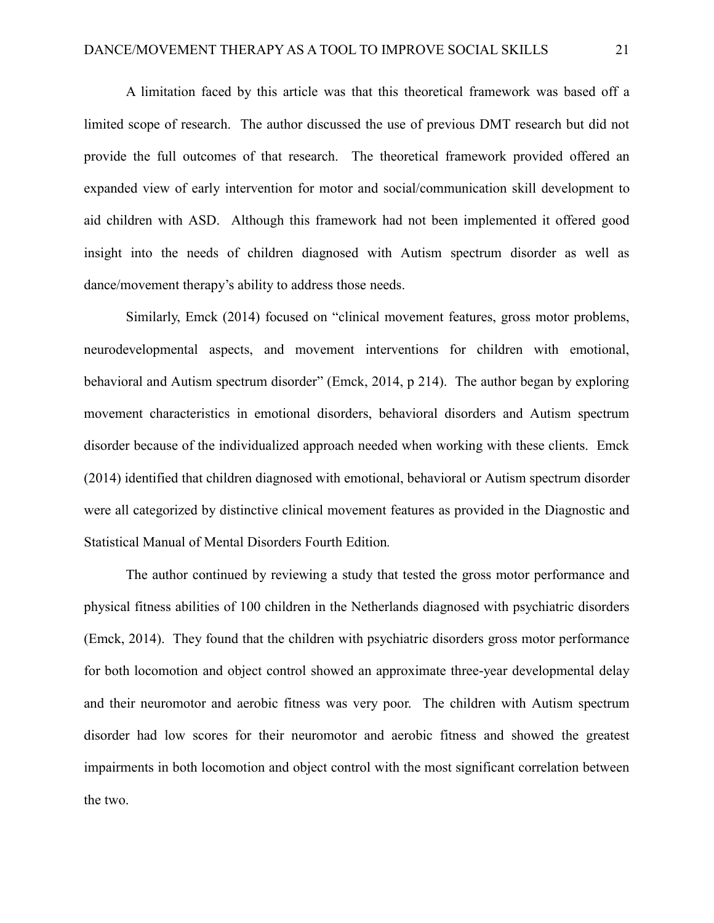A limitation faced by this article was that this theoretical framework was based off a limited scope of research. The author discussed the use of previous DMT research but did not provide the full outcomes of that research. The theoretical framework provided offered an expanded view of early intervention for motor and social/communication skill development to aid children with ASD. Although this framework had not been implemented it offered good insight into the needs of children diagnosed with Autism spectrum disorder as well as dance/movement therapy's ability to address those needs.

Similarly, Emck (2014) focused on "clinical movement features, gross motor problems, neurodevelopmental aspects, and movement interventions for children with emotional, behavioral and Autism spectrum disorder" (Emck, 2014, p 214). The author began by exploring movement characteristics in emotional disorders, behavioral disorders and Autism spectrum disorder because of the individualized approach needed when working with these clients. Emck (2014) identified that children diagnosed with emotional, behavioral or Autism spectrum disorder were all categorized by distinctive clinical movement features as provided in the Diagnostic and Statistical Manual of Mental Disorders Fourth Edition*.*

The author continued by reviewing a study that tested the gross motor performance and physical fitness abilities of 100 children in the Netherlands diagnosed with psychiatric disorders (Emck, 2014). They found that the children with psychiatric disorders gross motor performance for both locomotion and object control showed an approximate three-year developmental delay and their neuromotor and aerobic fitness was very poor. The children with Autism spectrum disorder had low scores for their neuromotor and aerobic fitness and showed the greatest impairments in both locomotion and object control with the most significant correlation between the two.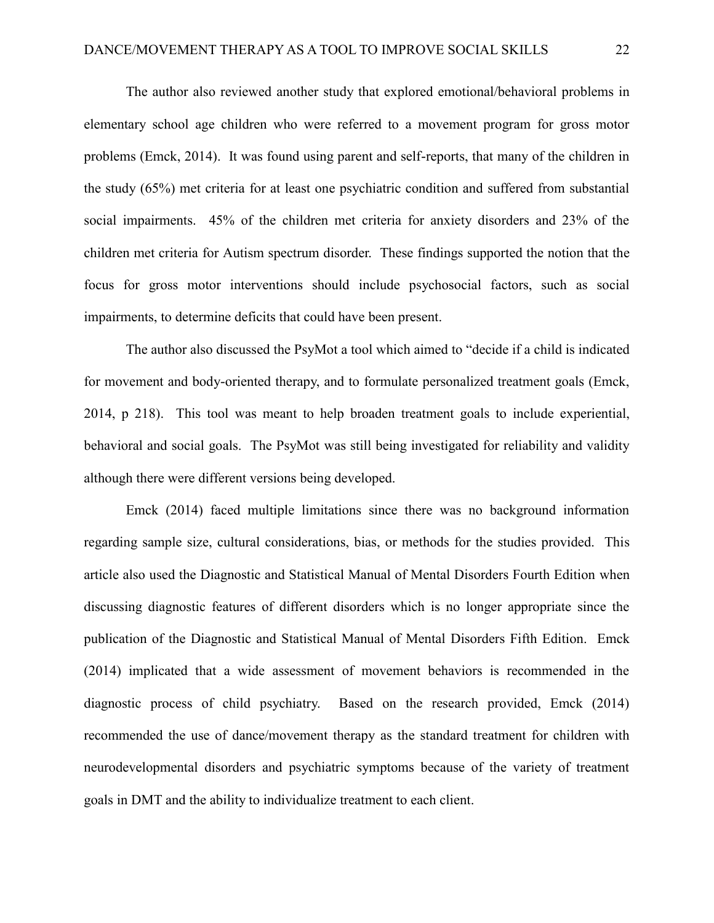The author also reviewed another study that explored emotional/behavioral problems in elementary school age children who were referred to a movement program for gross motor problems (Emck, 2014). It was found using parent and self-reports, that many of the children in the study (65%) met criteria for at least one psychiatric condition and suffered from substantial social impairments. 45% of the children met criteria for anxiety disorders and 23% of the children met criteria for Autism spectrum disorder. These findings supported the notion that the focus for gross motor interventions should include psychosocial factors, such as social impairments, to determine deficits that could have been present.

The author also discussed the PsyMot a tool which aimed to "decide if a child is indicated for movement and body-oriented therapy, and to formulate personalized treatment goals (Emck, 2014, p 218). This tool was meant to help broaden treatment goals to include experiential, behavioral and social goals. The PsyMot was still being investigated for reliability and validity although there were different versions being developed.

Emck (2014) faced multiple limitations since there was no background information regarding sample size, cultural considerations, bias, or methods for the studies provided. This article also used the Diagnostic and Statistical Manual of Mental Disorders Fourth Edition when discussing diagnostic features of different disorders which is no longer appropriate since the publication of the Diagnostic and Statistical Manual of Mental Disorders Fifth Edition. Emck (2014) implicated that a wide assessment of movement behaviors is recommended in the diagnostic process of child psychiatry. Based on the research provided, Emck (2014) recommended the use of dance/movement therapy as the standard treatment for children with neurodevelopmental disorders and psychiatric symptoms because of the variety of treatment goals in DMT and the ability to individualize treatment to each client.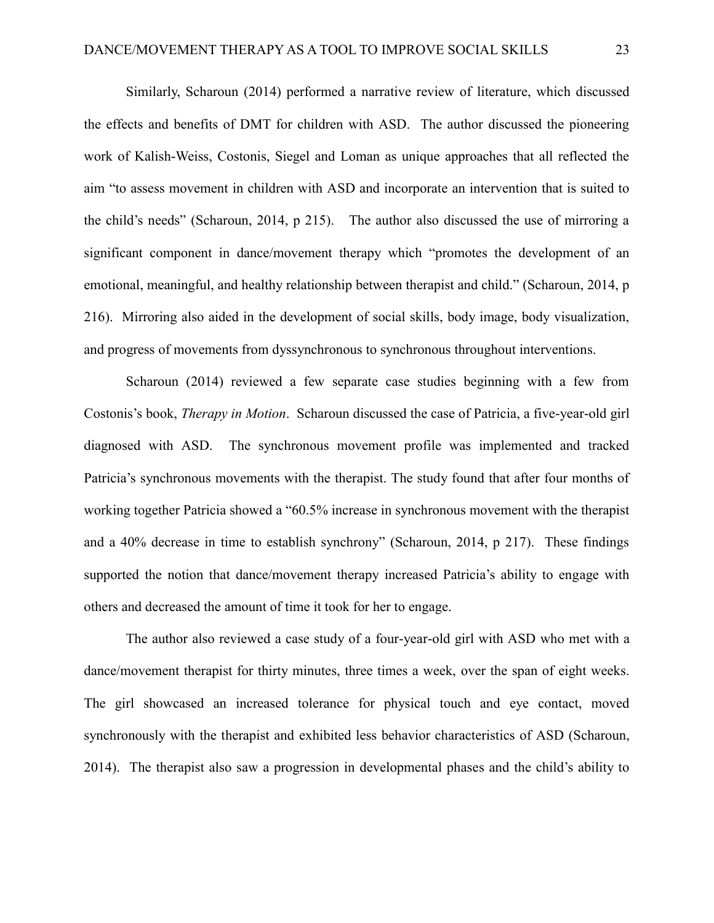Similarly, Scharoun (2014) performed a narrative review of literature, which discussed the effects and benefits of DMT for children with ASD. The author discussed the pioneering work of Kalish-Weiss, Costonis, Siegel and Loman as unique approaches that all reflected the aim "to assess movement in children with ASD and incorporate an intervention that is suited to the child's needs" (Scharoun, 2014, p 215). The author also discussed the use of mirroring a significant component in dance/movement therapy which "promotes the development of an emotional, meaningful, and healthy relationship between therapist and child." (Scharoun, 2014, p 216). Mirroring also aided in the development of social skills, body image, body visualization, and progress of movements from dyssynchronous to synchronous throughout interventions.

Scharoun (2014) reviewed a few separate case studies beginning with a few from Costonis's book, *Therapy in Motion*. Scharoun discussed the case of Patricia, a five-year-old girl diagnosed with ASD. The synchronous movement profile was implemented and tracked Patricia's synchronous movements with the therapist. The study found that after four months of working together Patricia showed a "60.5% increase in synchronous movement with the therapist and a 40% decrease in time to establish synchrony" (Scharoun, 2014, p 217). These findings supported the notion that dance/movement therapy increased Patricia's ability to engage with others and decreased the amount of time it took for her to engage.

The author also reviewed a case study of a four-year-old girl with ASD who met with a dance/movement therapist for thirty minutes, three times a week, over the span of eight weeks. The girl showcased an increased tolerance for physical touch and eye contact, moved synchronously with the therapist and exhibited less behavior characteristics of ASD (Scharoun, 2014). The therapist also saw a progression in developmental phases and the child's ability to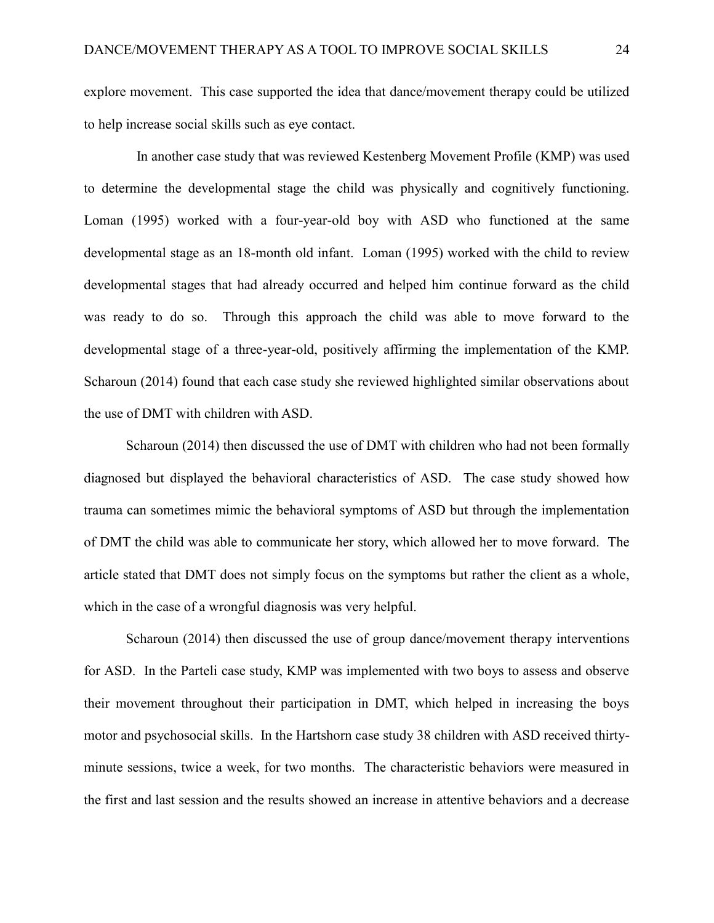explore movement. This case supported the idea that dance/movement therapy could be utilized to help increase social skills such as eye contact.

 In another case study that was reviewed Kestenberg Movement Profile (KMP) was used to determine the developmental stage the child was physically and cognitively functioning. Loman (1995) worked with a four-year-old boy with ASD who functioned at the same developmental stage as an 18-month old infant. Loman (1995) worked with the child to review developmental stages that had already occurred and helped him continue forward as the child was ready to do so. Through this approach the child was able to move forward to the developmental stage of a three-year-old, positively affirming the implementation of the KMP. Scharoun (2014) found that each case study she reviewed highlighted similar observations about the use of DMT with children with ASD.

Scharoun (2014) then discussed the use of DMT with children who had not been formally diagnosed but displayed the behavioral characteristics of ASD. The case study showed how trauma can sometimes mimic the behavioral symptoms of ASD but through the implementation of DMT the child was able to communicate her story, which allowed her to move forward. The article stated that DMT does not simply focus on the symptoms but rather the client as a whole, which in the case of a wrongful diagnosis was very helpful.

Scharoun (2014) then discussed the use of group dance/movement therapy interventions for ASD. In the Parteli case study, KMP was implemented with two boys to assess and observe their movement throughout their participation in DMT, which helped in increasing the boys motor and psychosocial skills. In the Hartshorn case study 38 children with ASD received thirtyminute sessions, twice a week, for two months. The characteristic behaviors were measured in the first and last session and the results showed an increase in attentive behaviors and a decrease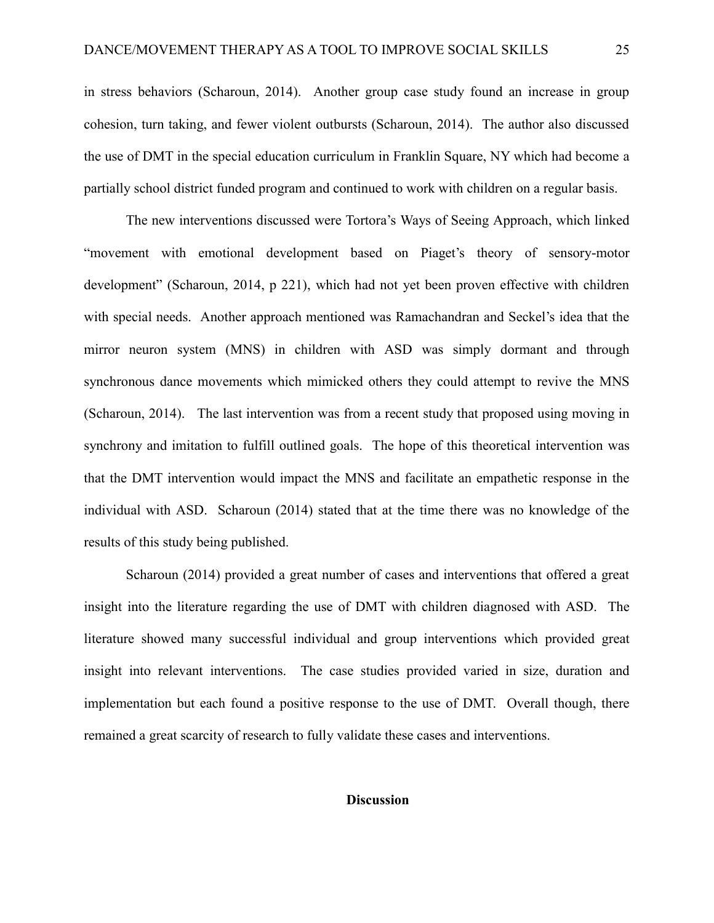in stress behaviors (Scharoun, 2014). Another group case study found an increase in group cohesion, turn taking, and fewer violent outbursts (Scharoun, 2014). The author also discussed the use of DMT in the special education curriculum in Franklin Square, NY which had become a partially school district funded program and continued to work with children on a regular basis.

The new interventions discussed were Tortora's Ways of Seeing Approach, which linked "movement with emotional development based on Piaget's theory of sensory-motor development" (Scharoun, 2014, p 221), which had not yet been proven effective with children with special needs. Another approach mentioned was Ramachandran and Seckel's idea that the mirror neuron system (MNS) in children with ASD was simply dormant and through synchronous dance movements which mimicked others they could attempt to revive the MNS (Scharoun, 2014). The last intervention was from a recent study that proposed using moving in synchrony and imitation to fulfill outlined goals. The hope of this theoretical intervention was that the DMT intervention would impact the MNS and facilitate an empathetic response in the individual with ASD. Scharoun (2014) stated that at the time there was no knowledge of the results of this study being published.

Scharoun (2014) provided a great number of cases and interventions that offered a great insight into the literature regarding the use of DMT with children diagnosed with ASD. The literature showed many successful individual and group interventions which provided great insight into relevant interventions. The case studies provided varied in size, duration and implementation but each found a positive response to the use of DMT. Overall though, there remained a great scarcity of research to fully validate these cases and interventions.

#### **Discussion**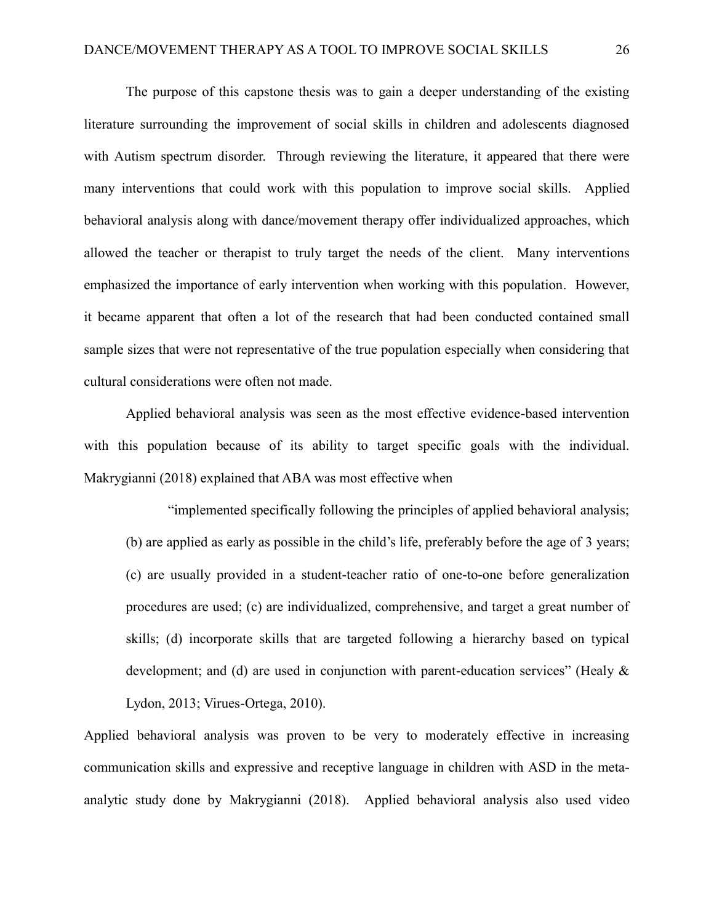The purpose of this capstone thesis was to gain a deeper understanding of the existing literature surrounding the improvement of social skills in children and adolescents diagnosed with Autism spectrum disorder. Through reviewing the literature, it appeared that there were many interventions that could work with this population to improve social skills. Applied behavioral analysis along with dance/movement therapy offer individualized approaches, which allowed the teacher or therapist to truly target the needs of the client. Many interventions emphasized the importance of early intervention when working with this population. However, it became apparent that often a lot of the research that had been conducted contained small sample sizes that were not representative of the true population especially when considering that cultural considerations were often not made.

Applied behavioral analysis was seen as the most effective evidence-based intervention with this population because of its ability to target specific goals with the individual. Makrygianni (2018) explained that ABA was most effective when

"implemented specifically following the principles of applied behavioral analysis; (b) are applied as early as possible in the child's life, preferably before the age of 3 years; (c) are usually provided in a student-teacher ratio of one-to-one before generalization procedures are used; (c) are individualized, comprehensive, and target a great number of skills; (d) incorporate skills that are targeted following a hierarchy based on typical development; and (d) are used in conjunction with parent-education services" (Healy & Lydon, 2013; Virues-Ortega, 2010).

Applied behavioral analysis was proven to be very to moderately effective in increasing communication skills and expressive and receptive language in children with ASD in the metaanalytic study done by Makrygianni (2018). Applied behavioral analysis also used video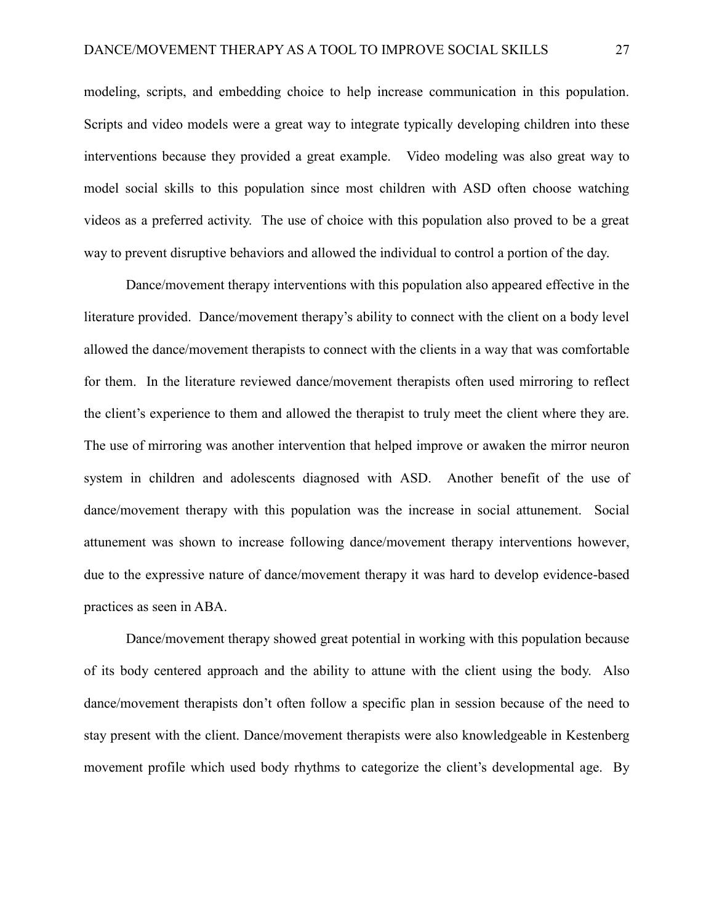modeling, scripts, and embedding choice to help increase communication in this population. Scripts and video models were a great way to integrate typically developing children into these interventions because they provided a great example. Video modeling was also great way to model social skills to this population since most children with ASD often choose watching videos as a preferred activity. The use of choice with this population also proved to be a great way to prevent disruptive behaviors and allowed the individual to control a portion of the day.

Dance/movement therapy interventions with this population also appeared effective in the literature provided. Dance/movement therapy's ability to connect with the client on a body level allowed the dance/movement therapists to connect with the clients in a way that was comfortable for them. In the literature reviewed dance/movement therapists often used mirroring to reflect the client's experience to them and allowed the therapist to truly meet the client where they are. The use of mirroring was another intervention that helped improve or awaken the mirror neuron system in children and adolescents diagnosed with ASD. Another benefit of the use of dance/movement therapy with this population was the increase in social attunement. Social attunement was shown to increase following dance/movement therapy interventions however, due to the expressive nature of dance/movement therapy it was hard to develop evidence-based practices as seen in ABA.

Dance/movement therapy showed great potential in working with this population because of its body centered approach and the ability to attune with the client using the body. Also dance/movement therapists don't often follow a specific plan in session because of the need to stay present with the client. Dance/movement therapists were also knowledgeable in Kestenberg movement profile which used body rhythms to categorize the client's developmental age. By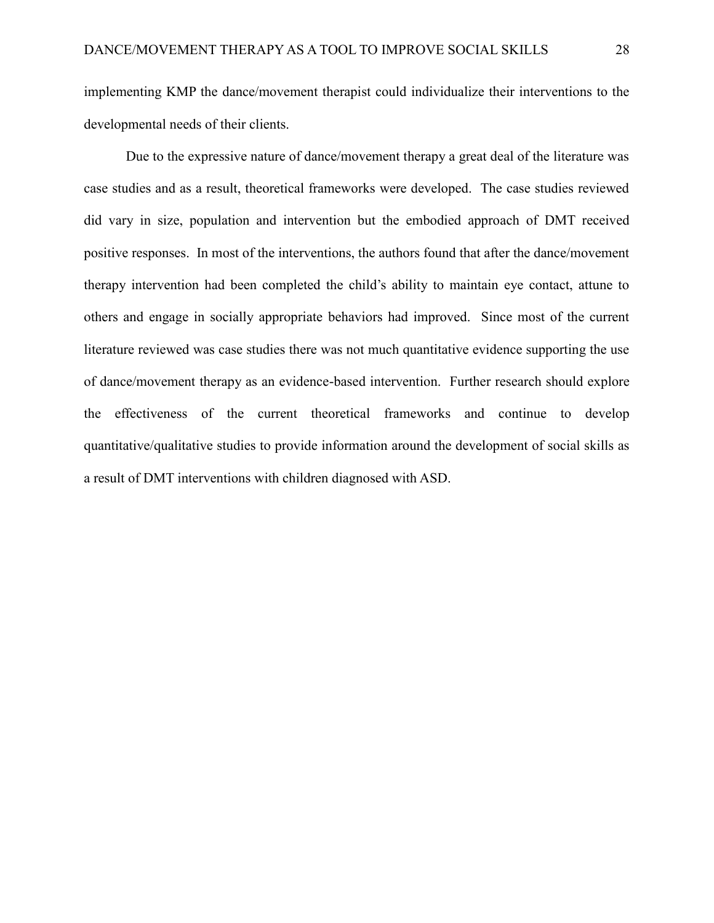implementing KMP the dance/movement therapist could individualize their interventions to the developmental needs of their clients.

Due to the expressive nature of dance/movement therapy a great deal of the literature was case studies and as a result, theoretical frameworks were developed. The case studies reviewed did vary in size, population and intervention but the embodied approach of DMT received positive responses. In most of the interventions, the authors found that after the dance/movement therapy intervention had been completed the child's ability to maintain eye contact, attune to others and engage in socially appropriate behaviors had improved. Since most of the current literature reviewed was case studies there was not much quantitative evidence supporting the use of dance/movement therapy as an evidence-based intervention. Further research should explore the effectiveness of the current theoretical frameworks and continue to develop quantitative/qualitative studies to provide information around the development of social skills as a result of DMT interventions with children diagnosed with ASD.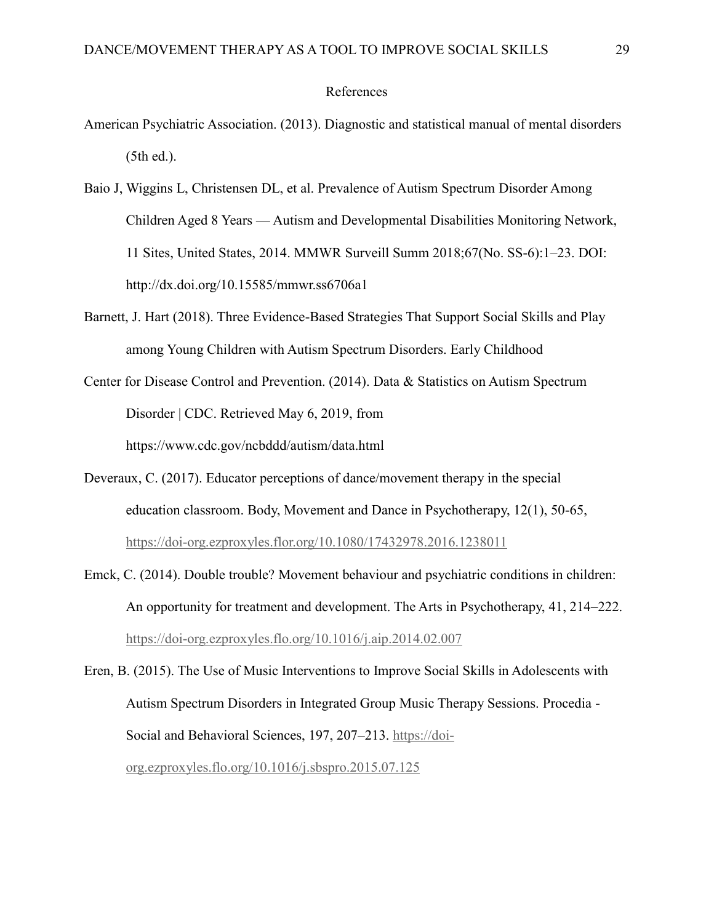#### References

- American Psychiatric Association. (2013). Diagnostic and statistical manual of mental disorders (5th ed.).
- Baio J, Wiggins L, Christensen DL, et al. Prevalence of Autism Spectrum Disorder Among Children Aged 8 Years — Autism and Developmental Disabilities Monitoring Network, 11 Sites, United States, 2014. MMWR Surveill Summ 2018;67(No. SS-6):1–23. DOI: http://dx.doi.org/10.15585/mmwr.ss6706a1
- Barnett, J. Hart (2018). Three Evidence-Based Strategies That Support Social Skills and Play among Young Children with Autism Spectrum Disorders. Early Childhood
- Center for Disease Control and Prevention. (2014). Data & Statistics on Autism Spectrum Disorder | CDC. Retrieved May 6, 2019, from https://www.cdc.gov/ncbddd/autism/data.html
- Deveraux, C. (2017). Educator perceptions of dance/movement therapy in the special education classroom. Body, Movement and Dance in Psychotherapy, 12(1), 50-65, <https://doi-org.ezproxyles.flor.org/10.1080/17432978.2016.1238011>
- Emck, C. (2014). Double trouble? Movement behaviour and psychiatric conditions in children: An opportunity for treatment and development. The Arts in Psychotherapy, 41, 214–222. <https://doi-org.ezproxyles.flo.org/10.1016/j.aip.2014.02.007>

Eren, B. (2015). The Use of Music Interventions to Improve Social Skills in Adolescents with Autism Spectrum Disorders in Integrated Group Music Therapy Sessions. Procedia - Social and Behavioral Sciences, 197, 207–213. [https://doi](https://doi-org.ezproxyles.flo.org/10.1016/j.sbspro.2015.07.125)[org.ezproxyles.flo.org/10.1016/j.sbspro.2015.07.125](https://doi-org.ezproxyles.flo.org/10.1016/j.sbspro.2015.07.125)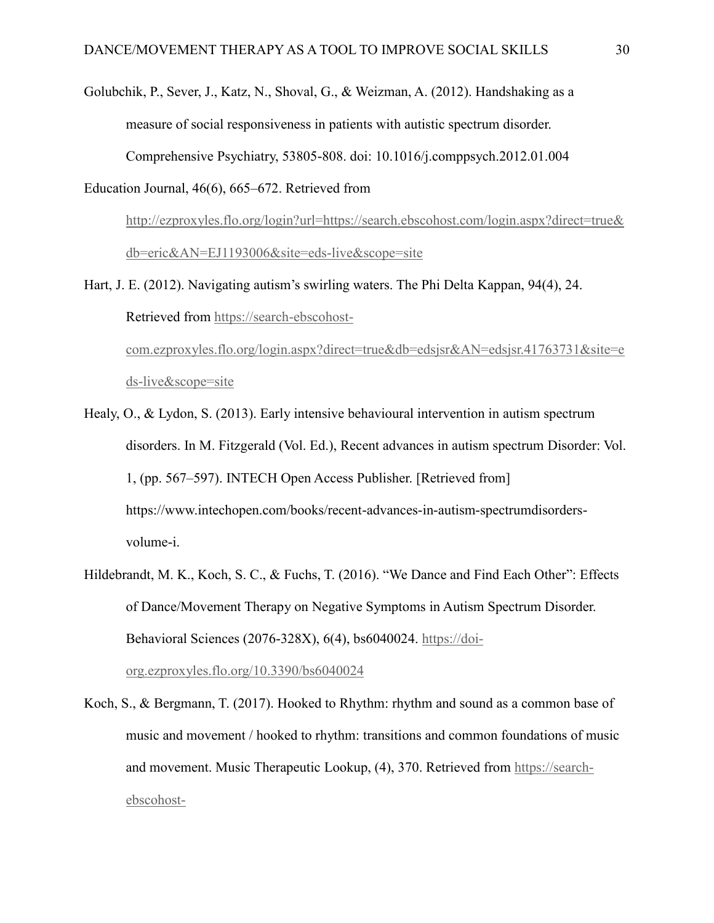Golubchik, P., Sever, J., Katz, N., Shoval, G., & Weizman, A. (2012). Handshaking as a measure of social responsiveness in patients with autistic spectrum disorder. Comprehensive Psychiatry, 53805-808. doi: 10.1016/j.comppsych.2012.01.004

Education Journal, 46(6), 665–672. Retrieved from

[http://ezproxyles.flo.org/login?url=https://search.ebscohost.com/login.aspx?direct=true&](http://ezproxyles.flo.org/login?url=https://search.ebscohost.com/login.aspx?direct=true&db=eric&AN=EJ1193006&site=eds-live&scope=site) [db=eric&AN=EJ1193006&site=eds-live&scope=site](http://ezproxyles.flo.org/login?url=https://search.ebscohost.com/login.aspx?direct=true&db=eric&AN=EJ1193006&site=eds-live&scope=site)

Hart, J. E. (2012). Navigating autism's swirling waters. The Phi Delta Kappan, 94(4), 24. Retrieved from [https://search-ebscohost](https://search-ebscohost-com.ezproxyles.flo.org/login.aspx?direct=true&db=edsjsr&AN=edsjsr.41763731&site=eds-live&scope=site)[com.ezproxyles.flo.org/login.aspx?direct=true&db=edsjsr&AN=edsjsr.41763731&site=e](https://search-ebscohost-com.ezproxyles.flo.org/login.aspx?direct=true&db=edsjsr&AN=edsjsr.41763731&site=eds-live&scope=site) [ds-live&scope=site](https://search-ebscohost-com.ezproxyles.flo.org/login.aspx?direct=true&db=edsjsr&AN=edsjsr.41763731&site=eds-live&scope=site)

Healy, O., & Lydon, S. (2013). Early intensive behavioural intervention in autism spectrum disorders. In M. Fitzgerald (Vol. Ed.), Recent advances in autism spectrum Disorder: Vol. 1, (pp. 567–597). INTECH Open Access Publisher. [Retrieved from] https://www.intechopen.com/books/recent-advances-in-autism-spectrumdisordersvolume-i.

Hildebrandt, M. K., Koch, S. C., & Fuchs, T. (2016). "We Dance and Find Each Other": Effects of Dance/Movement Therapy on Negative Symptoms in Autism Spectrum Disorder. Behavioral Sciences (2076-328X), 6(4), bs6040024. [https://doi](https://doi-org.ezproxyles.flo.org/10.3390/bs6040024)[org.ezproxyles.flo.org/10.3390/bs6040024](https://doi-org.ezproxyles.flo.org/10.3390/bs6040024)

Koch, S., & Bergmann, T. (2017). Hooked to Rhythm: rhythm and sound as a common base of music and movement / hooked to rhythm: transitions and common foundations of music and movement. Music Therapeutic Lookup, (4), 370. Retrieved from [https://search](https://search-ebscohost-com.ezproxyles.flo.org/login.aspx?direct=true&db=edsgao&AN=edsgcl.571837314&site=eds-live&scope=site)[ebscohost-](https://search-ebscohost-com.ezproxyles.flo.org/login.aspx?direct=true&db=edsgao&AN=edsgcl.571837314&site=eds-live&scope=site)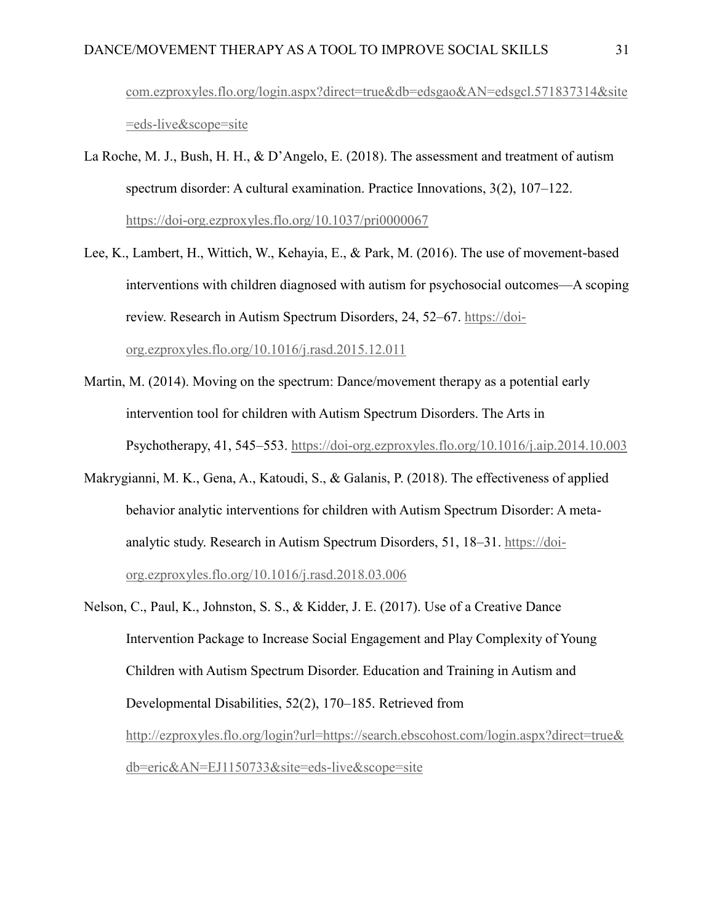[com.ezproxyles.flo.org/login.aspx?direct=true&db=edsgao&AN=edsgcl.571837314&site](https://search-ebscohost-com.ezproxyles.flo.org/login.aspx?direct=true&db=edsgao&AN=edsgcl.571837314&site=eds-live&scope=site) [=eds-live&scope=site](https://search-ebscohost-com.ezproxyles.flo.org/login.aspx?direct=true&db=edsgao&AN=edsgcl.571837314&site=eds-live&scope=site)

- La Roche, M. J., Bush, H. H., & D'Angelo, E. (2018). The assessment and treatment of autism spectrum disorder: A cultural examination. Practice Innovations, 3(2), 107–122. <https://doi-org.ezproxyles.flo.org/10.1037/pri0000067>
- Lee, K., Lambert, H., Wittich, W., Kehayia, E., & Park, M. (2016). The use of movement-based interventions with children diagnosed with autism for psychosocial outcomes—A scoping review. Research in Autism Spectrum Disorders, 24, 52–67. [https://doi](https://doi-org.ezproxyles.flo.org/10.1016/j.rasd.2015.12.011)[org.ezproxyles.flo.org/10.1016/j.rasd.2015.12.011](https://doi-org.ezproxyles.flo.org/10.1016/j.rasd.2015.12.011)
- Martin, M. (2014). Moving on the spectrum: Dance/movement therapy as a potential early intervention tool for children with Autism Spectrum Disorders. The Arts in Psychotherapy, 41, 545–553.<https://doi-org.ezproxyles.flo.org/10.1016/j.aip.2014.10.003>
- Makrygianni, M. K., Gena, A., Katoudi, S., & Galanis, P. (2018). The effectiveness of applied behavior analytic interventions for children with Autism Spectrum Disorder: A metaanalytic study. Research in Autism Spectrum Disorders, 51, 18–31. [https://doi](https://doi-org.ezproxyles.flo.org/10.1016/j.rasd.2018.03.006)[org.ezproxyles.flo.org/10.1016/j.rasd.2018.03.006](https://doi-org.ezproxyles.flo.org/10.1016/j.rasd.2018.03.006)
- Nelson, C., Paul, K., Johnston, S. S., & Kidder, J. E. (2017). Use of a Creative Dance Intervention Package to Increase Social Engagement and Play Complexity of Young Children with Autism Spectrum Disorder. Education and Training in Autism and Developmental Disabilities, 52(2), 170–185. Retrieved from [http://ezproxyles.flo.org/login?url=https://search.ebscohost.com/login.aspx?direct=true&](http://ezproxyles.flo.org/login?url=https://search.ebscohost.com/login.aspx?direct=true&db=eric&AN=EJ1150733&site=eds-live&scope=site) [db=eric&AN=EJ1150733&site=eds-live&scope=site](http://ezproxyles.flo.org/login?url=https://search.ebscohost.com/login.aspx?direct=true&db=eric&AN=EJ1150733&site=eds-live&scope=site)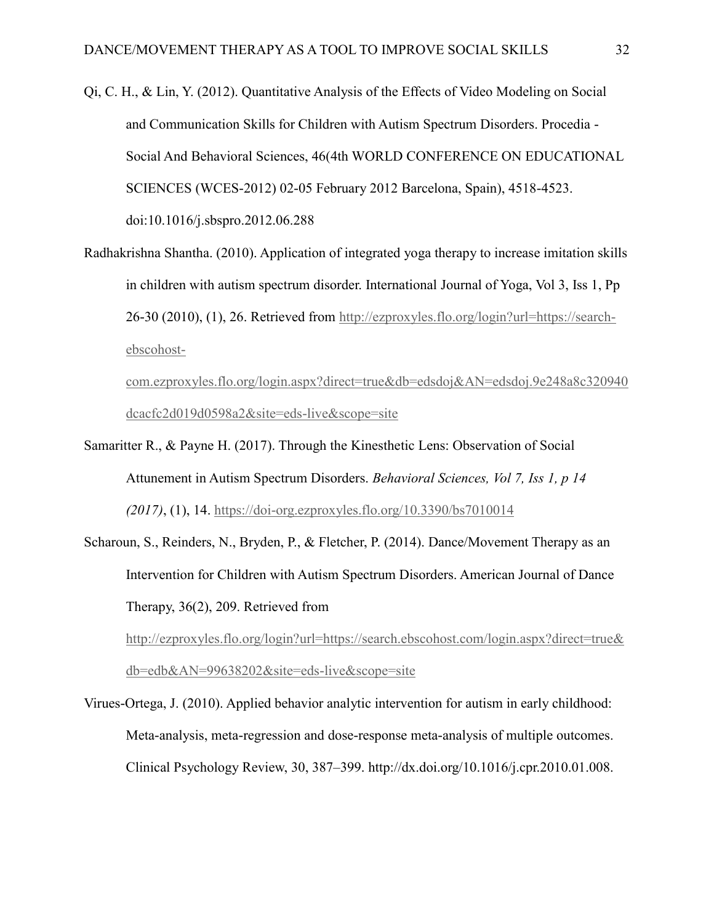- Qi, C. H., & Lin, Y. (2012). Quantitative Analysis of the Effects of Video Modeling on Social and Communication Skills for Children with Autism Spectrum Disorders. Procedia - Social And Behavioral Sciences, 46(4th WORLD CONFERENCE ON EDUCATIONAL SCIENCES (WCES-2012) 02-05 February 2012 Barcelona, Spain), 4518-4523. doi:10.1016/j.sbspro.2012.06.288
- Radhakrishna Shantha. (2010). Application of integrated yoga therapy to increase imitation skills in children with autism spectrum disorder. International Journal of Yoga, Vol 3, Iss 1, Pp 26-30 (2010), (1), 26. Retrieved from [http://ezproxyles.flo.org/login?url=https://search](http://ezproxyles.flo.org/login?url=https://search-ebscohost-com.ezproxyles.flo.org/login.aspx?direct=true&db=edsdoj&AN=edsdoj.9e248a8c320940dcacfc2d019d0598a2&site=eds-live&scope=site)[ebscohost-](http://ezproxyles.flo.org/login?url=https://search-ebscohost-com.ezproxyles.flo.org/login.aspx?direct=true&db=edsdoj&AN=edsdoj.9e248a8c320940dcacfc2d019d0598a2&site=eds-live&scope=site)

[com.ezproxyles.flo.org/login.aspx?direct=true&db=edsdoj&AN=edsdoj.9e248a8c320940](http://ezproxyles.flo.org/login?url=https://search-ebscohost-com.ezproxyles.flo.org/login.aspx?direct=true&db=edsdoj&AN=edsdoj.9e248a8c320940dcacfc2d019d0598a2&site=eds-live&scope=site) [dcacfc2d019d0598a2&site=eds-live&scope=site](http://ezproxyles.flo.org/login?url=https://search-ebscohost-com.ezproxyles.flo.org/login.aspx?direct=true&db=edsdoj&AN=edsdoj.9e248a8c320940dcacfc2d019d0598a2&site=eds-live&scope=site)

- Samaritter R., & Payne H. (2017). Through the Kinesthetic Lens: Observation of Social Attunement in Autism Spectrum Disorders. *Behavioral Sciences, Vol 7, Iss 1, p 14 (2017)*, (1), 14.<https://doi-org.ezproxyles.flo.org/10.3390/bs7010014>
- Scharoun, S., Reinders, N., Bryden, P., & Fletcher, P. (2014). Dance/Movement Therapy as an Intervention for Children with Autism Spectrum Disorders. American Journal of Dance Therapy, 36(2), 209. Retrieved from

[http://ezproxyles.flo.org/login?url=https://search.ebscohost.com/login.aspx?direct=true&](http://ezproxyles.flo.org/login?url=https://search.ebscohost.com/login.aspx?direct=true&db=edb&AN=99638202&site=eds-live&scope=site) [db=edb&AN=99638202&site=eds-live&scope=site](http://ezproxyles.flo.org/login?url=https://search.ebscohost.com/login.aspx?direct=true&db=edb&AN=99638202&site=eds-live&scope=site)

Virues-Ortega, J. (2010). Applied behavior analytic intervention for autism in early childhood: Meta-analysis, meta-regression and dose-response meta-analysis of multiple outcomes. Clinical Psychology Review, 30, 387–399. http://dx.doi.org/10.1016/j.cpr.2010.01.008.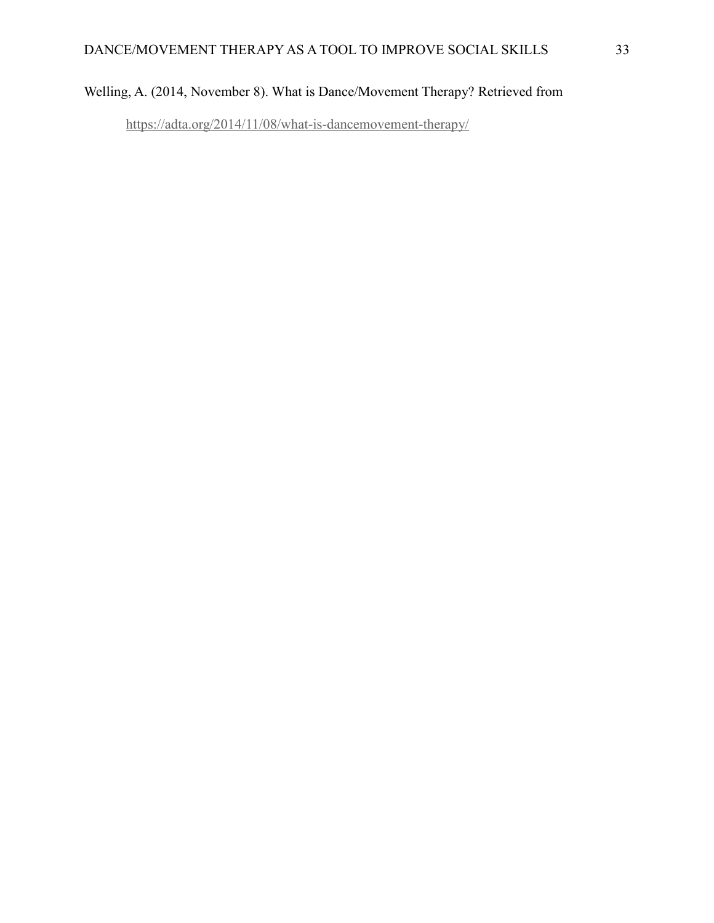### Welling, A. (2014, November 8). What is Dance/Movement Therapy? Retrieved from

<https://adta.org/2014/11/08/what-is-dancemovement-therapy/>